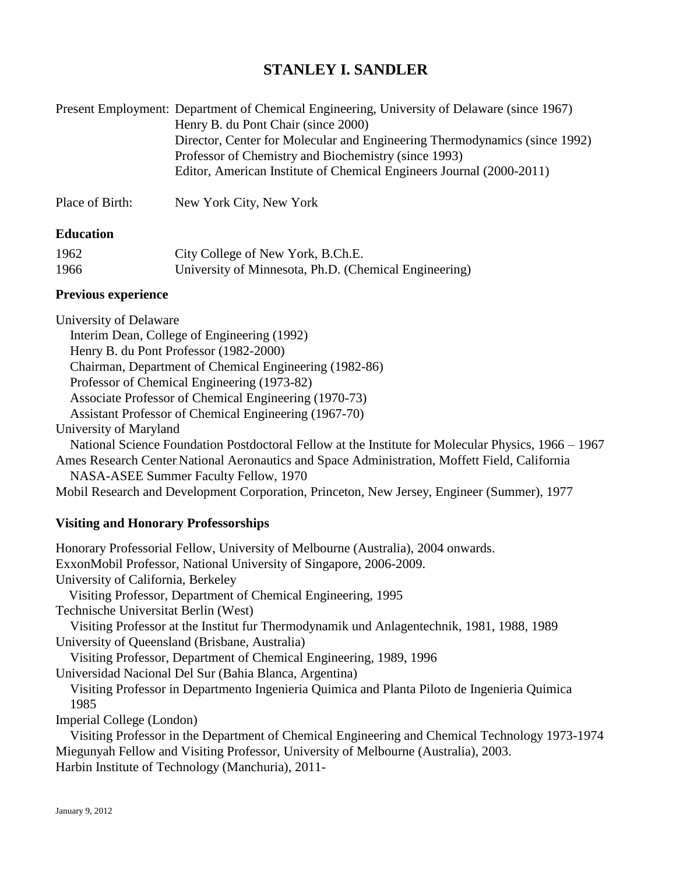# **STANLEY I. SANDLER**

|                 | Present Employment: Department of Chemical Engineering, University of Delaware (since 1967) |
|-----------------|---------------------------------------------------------------------------------------------|
|                 | Henry B. du Pont Chair (since 2000)                                                         |
|                 | Director, Center for Molecular and Engineering Thermodynamics (since 1992)                  |
|                 | Professor of Chemistry and Biochemistry (since 1993)                                        |
|                 | Editor, American Institute of Chemical Engineers Journal (2000-2011)                        |
| Place of Birth: | New York City, New York                                                                     |

#### **Education**

| 1962 | City College of New York, B.Ch.E.                     |
|------|-------------------------------------------------------|
| 1966 | University of Minnesota, Ph.D. (Chemical Engineering) |

#### **Previous experience**

University of Delaware Interim Dean, College of Engineering (1992) Henry B. du Pont Professor (1982-2000) Chairman, Department of Chemical Engineering (1982-86) Professor of Chemical Engineering (1973-82) Associate Professor of Chemical Engineering (1970-73) Assistant Professor of Chemical Engineering (1967-70) University of Maryland National Science Foundation Postdoctoral Fellow at the Institute for Molecular Physics, 1966 – 1967 Ames Research Center**,** National Aeronautics and Space Administration, Moffett Field, California NASA-ASEE Summer Faculty Fellow, 1970 Mobil Research and Development Corporation, Princeton, New Jersey, Engineer (Summer), 1977

#### **Visiting and Honorary Professorships**

Honorary Professorial Fellow, University of Melbourne (Australia), 2004 onwards. ExxonMobil Professor, National University of Singapore, 2006-2009. University of California, Berkeley Visiting Professor, Department of Chemical Engineering, 1995 Technische Universitat Berlin (West) Visiting Professor at the Institut fur Thermodynamik und Anlagentechnik, 1981, 1988, 1989 University of Queensland (Brisbane, Australia) Visiting Professor, Department of Chemical Engineering, 1989, 1996 Universidad Nacional Del Sur (Bahia Blanca, Argentina) Visiting Professor in Departmento Ingenieria Quimica and Planta Piloto de Ingenieria Quimica 1985 Imperial College (London) Visiting Professor in the Department of Chemical Engineering and Chemical Technology 1973-1974 Miegunyah Fellow and Visiting Professor, University of Melbourne (Australia), 2003. Harbin Institute of Technology (Manchuria), 2011-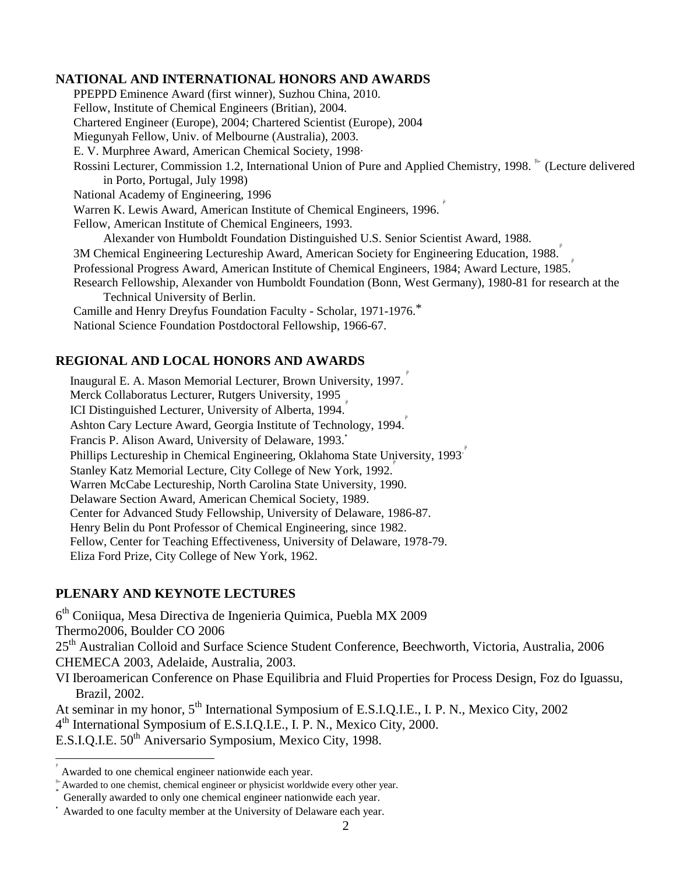#### **NATIONAL AND INTERNATIONAL HONORS AND AWARDS**

PPEPPD Eminence Award (first winner), Suzhou China, 2010. Fellow, Institute of Chemical Engineers (Britian), 2004. Chartered Engineer (Europe), 2004; Chartered Scientist (Europe), 2004 Miegunyah Fellow, Univ. of Melbourne (Australia), 2003. E. V. Murphree Award, American Chemical Society, 1998. Rossini Lecturer, Commission 1.2, International Union of Pure and Applied Chemistry, 1998. <sup>t\*</sup> (Lecture delivered in Porto, Portugal, July 1998) National Academy of Engineering, 1996 Warren K. Lewis Award, American Institute of Chemical Engineers, 1996. Fellow, American Institute of Chemical Engineers, 1993. Alexander von Humboldt Foundation Distinguished U.S. Senior Scientist Award, 1988. 3M Chemical Engineering Lectureship Award, American Society for Engineering Education, 1988. Professional Progress Award, American Institute of Chemical Engineers, 1984; Award Lecture, 1985. Research Fellowship, Alexander von Humboldt Foundation (Bonn, West Germany), 1980-81 for research at the Technical University of Berlin. Camille and Henry Dreyfus Foundation Faculty - Scholar, 1971-1976.\* National Science Foundation Postdoctoral Fellowship, 1966-67.

#### **REGIONAL AND LOCAL HONORS AND AWARDS**

Inaugural E. A. Mason Memorial Lecturer, Brown University, 1997. Merck Collaboratus Lecturer, Rutgers University, 1995 ICI Distinguished Lecturer, University of Alberta, 1994. Ashton Cary Lecture Award, Georgia Institute of Technology, 1994. Francis P. Alison Award, University of Delaware, 1993. Phillips Lectureship in Chemical Engineering, Oklahoma State University, 1993. Stanley Katz Memorial Lecture, City College of New York, 1992. ρ Warren McCabe Lectureship, North Carolina State University, 1990. Delaware Section Award, American Chemical Society, 1989. Center for Advanced Study Fellowship, University of Delaware, 1986-87. Henry Belin du Pont Professor of Chemical Engineering, since 1982. Fellow, Center for Teaching Effectiveness, University of Delaware, 1978-79. Eliza Ford Prize, City College of New York, 1962.

#### **PLENARY AND KEYNOTE LECTURES**

6<sup>th</sup> Coniiqua, Mesa Directiva de Ingenieria Quimica, Puebla MX 2009 Thermo2006, Boulder CO 2006 25<sup>th</sup> Australian Colloid and Surface Science Student Conference, Beechworth, Victoria, Australia, 2006 CHEMECA 2003, Adelaide, Australia, 2003. VI Iberoamerican Conference on Phase Equilibria and Fluid Properties for Process Design, Foz do Iguassu, Brazil, 2002. At seminar in my honor, 5<sup>th</sup> International Symposium of E.S.I.Q.I.E., I. P. N., Mexico City, 2002 4<sup>th</sup> International Symposium of E.S.I.Q.I.E., I. P. N., Mexico City, 2000.

E.S.I.Q.I.E. 50<sup>th</sup> Aniversario Symposium, Mexico City, 1998.

 $\overline{a}$ 

ρ Awarded to one chemical engineer nationwide each year.

Awarded to one chemist, chemical engineer or physicist worldwide every other year. \*

Generally awarded to only one chemical engineer nationwide each year.

Awarded to one faculty member at the University of Delaware each year.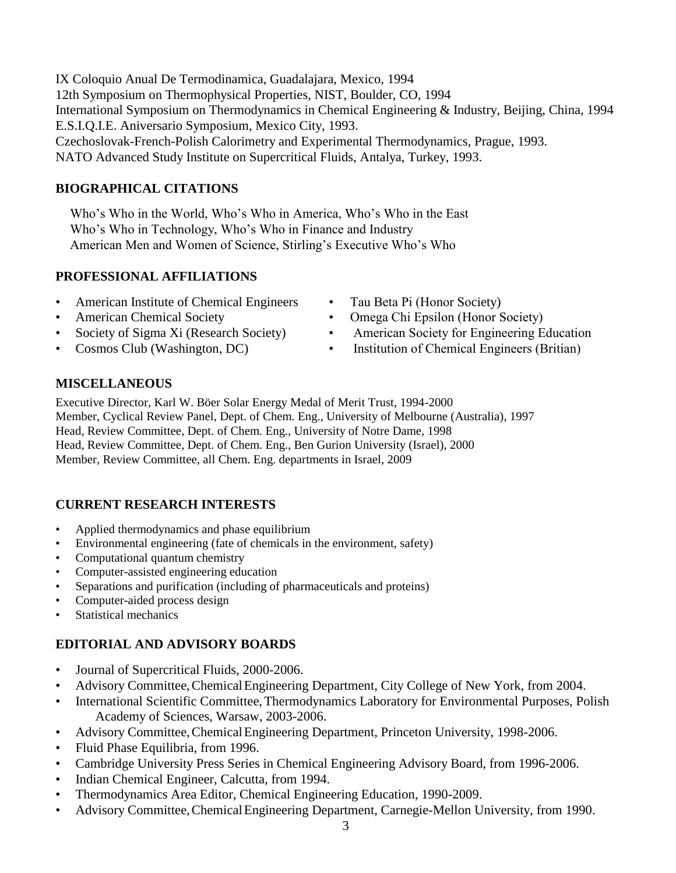IX Coloquio Anual De Termodinamica, Guadalajara, Mexico, 1994 12th Symposium on Thermophysical Properties, NIST, Boulder, CO, 1994 International Symposium on Thermodynamics in Chemical Engineering & Industry, Beijing, China, 1994 E.S.I.Q.I.E. Aniversario Symposium, Mexico City, 1993. Czechoslovak-French-Polish Calorimetry and Experimental Thermodynamics, Prague, 1993. NATO Advanced Study Institute on Supercritical Fluids, Antalya, Turkey, 1993.

# **BIOGRAPHICAL CITATIONS**

Who's Who in the World, Who's Who in America, Who's Who in the East Who's Who in Technology, Who's Who in Finance and Industry American Men and Women of Science, Stirling's Executive Who's Who

#### **PROFESSIONAL AFFILIATIONS**

- American Institute of Chemical Engineers Tau Beta Pi (Honor Society)
- 
- 
- 
- 
- American Chemical Society Omega Chi Epsilon (Honor Society)
- Society of Sigma Xi (Research Society) American Society for Engineering Education
- Cosmos Club (Washington, DC) Institution of Chemical Engineers (Britian)

# **MISCELLANEOUS**

Executive Director, Karl W. Böer Solar Energy Medal of Merit Trust, 1994-2000 Member, Cyclical Review Panel, Dept. of Chem. Eng., University of Melbourne (Australia), 1997 Head, Review Committee, Dept. of Chem. Eng., University of Notre Dame, 1998 Head, Review Committee, Dept. of Chem. Eng., Ben Gurion University (Israel), 2000 Member, Review Committee, all Chem. Eng. departments in Israel, 2009

# **CURRENT RESEARCH INTERESTS**

- Applied thermodynamics and phase equilibrium
- Environmental engineering (fate of chemicals in the environment, safety)
- Computational quantum chemistry
- Computer-assisted engineering education
- Separations and purification (including of pharmaceuticals and proteins)
- Computer-aided process design
- Statistical mechanics

# **EDITORIAL AND ADVISORY BOARDS**

- Journal of Supercritical Fluids, 2000-2006.
- Advisory Committee,ChemicalEngineering Department, City College of New York, from 2004.
- International Scientific Committee, Thermodynamics Laboratory for Environmental Purposes, Polish Academy of Sciences, Warsaw, 2003-2006.
- Advisory Committee,ChemicalEngineering Department, Princeton University, 1998-2006.
- Fluid Phase Equilibria, from 1996.
- Cambridge University Press Series in Chemical Engineering Advisory Board, from 1996-2006.
- Indian Chemical Engineer, Calcutta, from 1994.
- Thermodynamics Area Editor, Chemical Engineering Education, 1990-2009.
- Advisory Committee, Chemical Engineering Department, Carnegie-Mellon University, from 1990.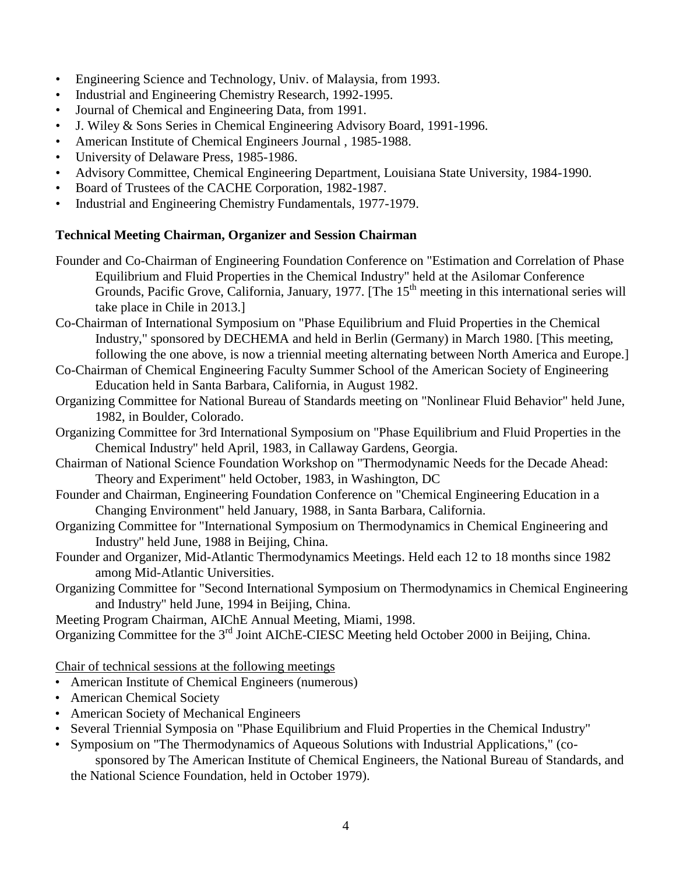- Engineering Science and Technology, Univ. of Malaysia, from 1993.
- Industrial and Engineering Chemistry Research, 1992-1995.
- Journal of Chemical and Engineering Data, from 1991.
- J. Wiley & Sons Series in Chemical Engineering Advisory Board, 1991-1996.
- American Institute of Chemical Engineers Journal , 1985-1988.
- University of Delaware Press, 1985-1986.
- Advisory Committee, Chemical Engineering Department, Louisiana State University, 1984-1990.
- Board of Trustees of the CACHE Corporation, 1982-1987.
- Industrial and Engineering Chemistry Fundamentals, 1977-1979.

#### **Technical Meeting Chairman, Organizer and Session Chairman**

- Founder and Co-Chairman of Engineering Foundation Conference on "Estimation and Correlation of Phase Equilibrium and Fluid Properties in the Chemical Industry" held at the Asilomar Conference Grounds, Pacific Grove, California, January, 1977. [The  $15<sup>th</sup>$  meeting in this international series will take place in Chile in 2013.]
- Co-Chairman of International Symposium on "Phase Equilibrium and Fluid Properties in the Chemical Industry," sponsored by DECHEMA and held in Berlin (Germany) in March 1980. [This meeting, following the one above, is now a triennial meeting alternating between North America and Europe.]
- Co-Chairman of Chemical Engineering Faculty Summer School of the American Society of Engineering Education held in Santa Barbara, California, in August 1982.
- Organizing Committee for National Bureau of Standards meeting on "Nonlinear Fluid Behavior" held June, 1982, in Boulder, Colorado.
- Organizing Committee for 3rd International Symposium on "Phase Equilibrium and Fluid Properties in the Chemical Industry" held April, 1983, in Callaway Gardens, Georgia.
- Chairman of National Science Foundation Workshop on "Thermodynamic Needs for the Decade Ahead: Theory and Experiment" held October, 1983, in Washington, DC
- Founder and Chairman, Engineering Foundation Conference on "Chemical Engineering Education in a Changing Environment" held January, 1988, in Santa Barbara, California.
- Organizing Committee for "International Symposium on Thermodynamics in Chemical Engineering and Industry" held June, 1988 in Beijing, China.
- Founder and Organizer, Mid-Atlantic Thermodynamics Meetings. Held each 12 to 18 months since 1982 among Mid-Atlantic Universities.
- Organizing Committee for "Second International Symposium on Thermodynamics in Chemical Engineering and Industry" held June, 1994 in Beijing, China.

Meeting Program Chairman, AIChE Annual Meeting, Miami, 1998.

Organizing Committee for the 3<sup>rd</sup> Joint AIChE-CIESC Meeting held October 2000 in Beijing, China.

Chair of technical sessions at the following meetings

- American Institute of Chemical Engineers (numerous)
- American Chemical Society
- American Society of Mechanical Engineers
- Several Triennial Symposia on "Phase Equilibrium and Fluid Properties in the Chemical Industry"
- Symposium on "The Thermodynamics of Aqueous Solutions with Industrial Applications," (cosponsored by The American Institute of Chemical Engineers, the National Bureau of Standards, and

the National Science Foundation, held in October 1979).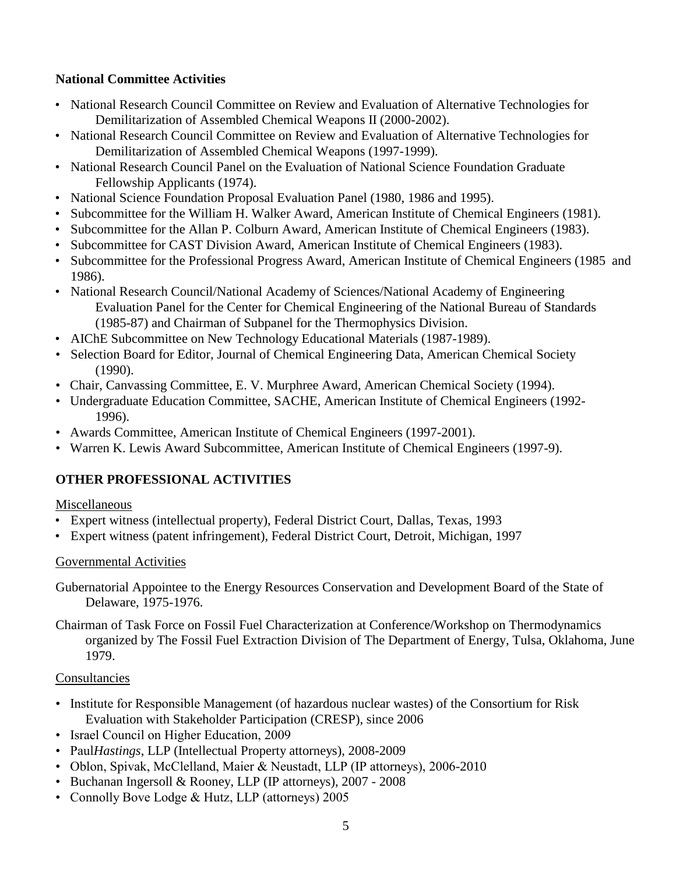# **National Committee Activities**

- National Research Council Committee on Review and Evaluation of Alternative Technologies for Demilitarization of Assembled Chemical Weapons II (2000-2002).
- National Research Council Committee on Review and Evaluation of Alternative Technologies for Demilitarization of Assembled Chemical Weapons (1997-1999).
- National Research Council Panel on the Evaluation of National Science Foundation Graduate Fellowship Applicants (1974).
- National Science Foundation Proposal Evaluation Panel (1980, 1986 and 1995).
- Subcommittee for the William H. Walker Award, American Institute of Chemical Engineers (1981).
- Subcommittee for the Allan P. Colburn Award, American Institute of Chemical Engineers (1983).
- Subcommittee for CAST Division Award, American Institute of Chemical Engineers (1983).
- Subcommittee for the Professional Progress Award, American Institute of Chemical Engineers (1985 and 1986).
- National Research Council/National Academy of Sciences/National Academy of Engineering Evaluation Panel for the Center for Chemical Engineering of the National Bureau of Standards (1985-87) and Chairman of Subpanel for the Thermophysics Division.
- AIChE Subcommittee on New Technology Educational Materials (1987-1989).
- Selection Board for Editor, Journal of Chemical Engineering Data, American Chemical Society (1990).
- Chair, Canvassing Committee, E. V. Murphree Award, American Chemical Society (1994).
- Undergraduate Education Committee, SACHE, American Institute of Chemical Engineers (1992- 1996).
- Awards Committee, American Institute of Chemical Engineers (1997-2001).
- Warren K. Lewis Award Subcommittee, American Institute of Chemical Engineers (1997-9).

# **OTHER PROFESSIONAL ACTIVITIES**

#### Miscellaneous

- Expert witness (intellectual property), Federal District Court, Dallas, Texas, 1993
- Expert witness (patent infringement), Federal District Court, Detroit, Michigan, 1997

# Governmental Activities

Gubernatorial Appointee to the Energy Resources Conservation and Development Board of the State of Delaware, 1975-1976.

Chairman of Task Force on Fossil Fuel Characterization at Conference/Workshop on Thermodynamics organized by The Fossil Fuel Extraction Division of The Department of Energy, Tulsa, Oklahoma, June 1979.

# Consultancies

- Institute for Responsible Management (of hazardous nuclear wastes) of the Consortium for Risk Evaluation with Stakeholder Participation (CRESP), since 2006
- Israel Council on Higher Education, 2009
- Paul*Hastings*, LLP (Intellectual Property attorneys), 2008-2009
- Oblon, Spivak, McClelland, Maier & Neustadt, LLP (IP attorneys), 2006-2010
- Buchanan Ingersoll & Rooney, LLP (IP attorneys), 2007 2008
- Connolly Bove Lodge & Hutz, LLP (attorneys) 2005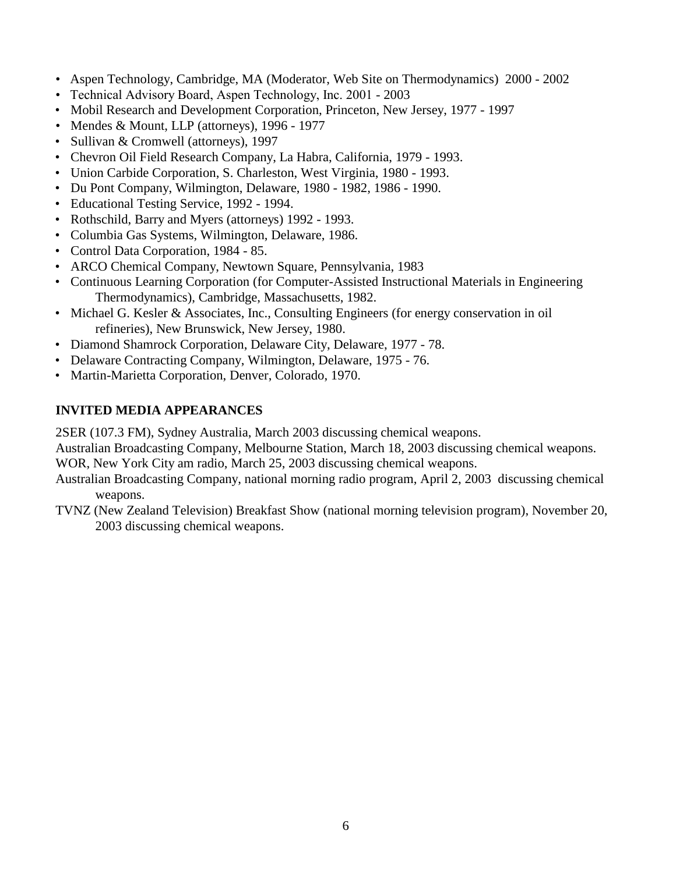- Aspen Technology, Cambridge, MA (Moderator, Web Site on Thermodynamics) 2000 2002
- Technical Advisory Board, Aspen Technology, Inc. 2001 2003
- Mobil Research and Development Corporation, Princeton, New Jersey, 1977 1997
- Mendes & Mount, LLP (attorneys), 1996 1977
- Sullivan & Cromwell (attorneys), 1997
- Chevron Oil Field Research Company, La Habra, California, 1979 1993.
- Union Carbide Corporation, S. Charleston, West Virginia, 1980 1993.
- Du Pont Company, Wilmington, Delaware, 1980 1982, 1986 1990.
- Educational Testing Service, 1992 1994.
- Rothschild, Barry and Myers (attorneys) 1992 1993.
- Columbia Gas Systems, Wilmington, Delaware, 1986.
- Control Data Corporation, 1984 85.
- ARCO Chemical Company, Newtown Square, Pennsylvania, 1983
- Continuous Learning Corporation (for Computer-Assisted Instructional Materials in Engineering Thermodynamics), Cambridge, Massachusetts, 1982.
- Michael G. Kesler & Associates, Inc., Consulting Engineers (for energy conservation in oil refineries), New Brunswick, New Jersey, 1980.
- Diamond Shamrock Corporation, Delaware City, Delaware, 1977 78.
- Delaware Contracting Company, Wilmington, Delaware, 1975 76.
- Martin-Marietta Corporation, Denver, Colorado, 1970.

# **INVITED MEDIA APPEARANCES**

2SER (107.3 FM), Sydney Australia, March 2003 discussing chemical weapons.

Australian Broadcasting Company, Melbourne Station, March 18, 2003 discussing chemical weapons.

WOR, New York City am radio, March 25, 2003 discussing chemical weapons.

- Australian Broadcasting Company, national morning radio program, April 2, 2003 discussing chemical weapons.
- TVNZ (New Zealand Television) Breakfast Show (national morning television program), November 20, 2003 discussing chemical weapons.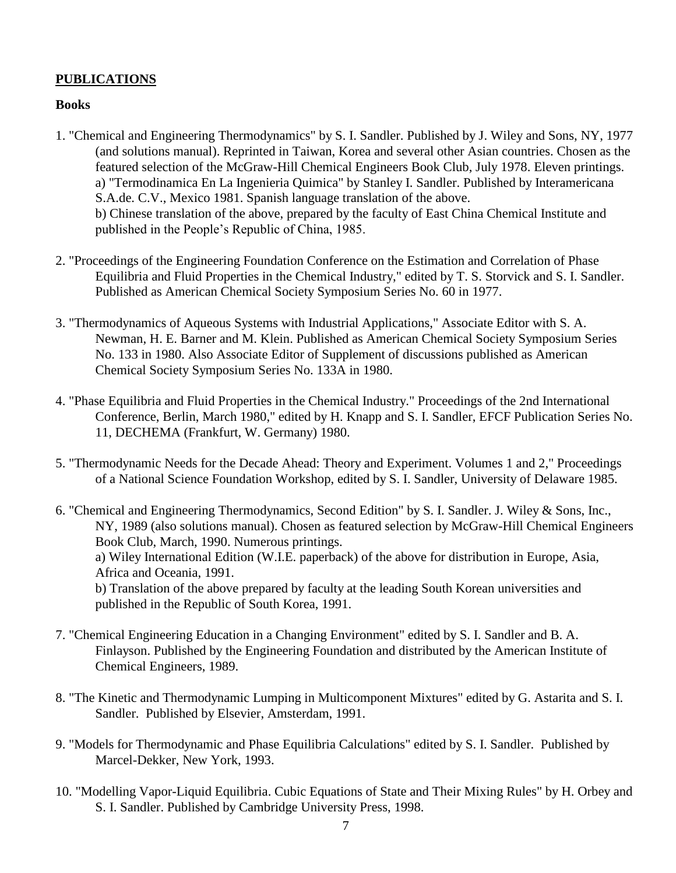### **PUBLICATIONS**

#### **Books**

- 1. "Chemical and Engineering Thermodynamics" by S. I. Sandler. Published by J. Wiley and Sons, NY, 1977 (and solutions manual). Reprinted in Taiwan, Korea and several other Asian countries. Chosen as the featured selection of the McGraw-Hill Chemical Engineers Book Club, July 1978. Eleven printings. a) "Termodinamica En La Ingenieria Quimica" by Stanley I. Sandler. Published by Interamericana S.A.de. C.V., Mexico 1981. Spanish language translation of the above. b) Chinese translation of the above, prepared by the faculty of East China Chemical Institute and published in the People's Republic of China, 1985.
- 2. "Proceedings of the Engineering Foundation Conference on the Estimation and Correlation of Phase Equilibria and Fluid Properties in the Chemical Industry," edited by T. S. Storvick and S. I. Sandler. Published as American Chemical Society Symposium Series No. 60 in 1977.
- 3. "Thermodynamics of Aqueous Systems with Industrial Applications," Associate Editor with S. A. Newman, H. E. Barner and M. Klein. Published as American Chemical Society Symposium Series No. 133 in 1980. Also Associate Editor of Supplement of discussions published as American Chemical Society Symposium Series No. 133A in 1980.
- 4. "Phase Equilibria and Fluid Properties in the Chemical Industry." Proceedings of the 2nd International Conference, Berlin, March 1980," edited by H. Knapp and S. I. Sandler, EFCF Publication Series No. 11, DECHEMA (Frankfurt, W. Germany) 1980.
- 5. "Thermodynamic Needs for the Decade Ahead: Theory and Experiment. Volumes 1 and 2," Proceedings of a National Science Foundation Workshop, edited by S. I. Sandler, University of Delaware 1985.
- 6. "Chemical and Engineering Thermodynamics, Second Edition" by S. I. Sandler. J. Wiley & Sons, Inc., NY, 1989 (also solutions manual). Chosen as featured selection by McGraw-Hill Chemical Engineers Book Club, March, 1990. Numerous printings. a) Wiley International Edition (W.I.E. paperback) of the above for distribution in Europe, Asia, Africa and Oceania, 1991. b) Translation of the above prepared by faculty at the leading South Korean universities and published in the Republic of South Korea, 1991.
- 7. "Chemical Engineering Education in a Changing Environment" edited by S. I. Sandler and B. A. Finlayson. Published by the Engineering Foundation and distributed by the American Institute of Chemical Engineers, 1989.
- 8. "The Kinetic and Thermodynamic Lumping in Multicomponent Mixtures" edited by G. Astarita and S. I. Sandler. Published by Elsevier, Amsterdam, 1991.
- 9. "Models for Thermodynamic and Phase Equilibria Calculations" edited by S. I. Sandler. Published by Marcel-Dekker, New York, 1993.
- 10. "Modelling Vapor-Liquid Equilibria. Cubic Equations of State and Their Mixing Rules" by H. Orbey and S. I. Sandler. Published by Cambridge University Press, 1998.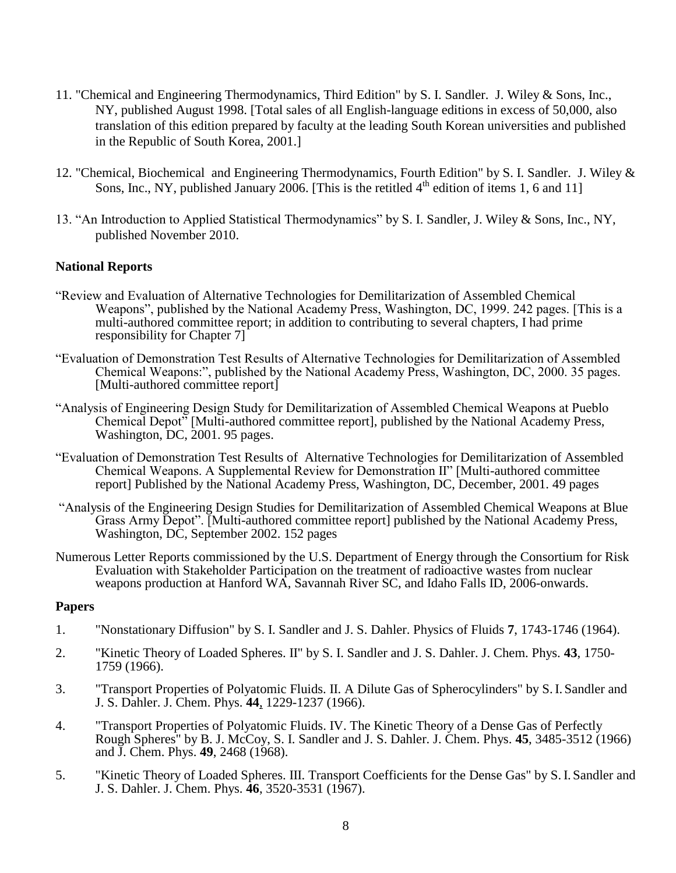- 11. "Chemical and Engineering Thermodynamics, Third Edition" by S. I. Sandler. J. Wiley & Sons, Inc., NY, published August 1998. [Total sales of all English-language editions in excess of 50,000, also translation of this edition prepared by faculty at the leading South Korean universities and published in the Republic of South Korea, 2001.]
- 12. "Chemical, Biochemical and Engineering Thermodynamics, Fourth Edition" by S. I. Sandler. J. Wiley & Sons, Inc., NY, published January 2006. [This is the retitled  $4<sup>th</sup>$  edition of items 1, 6 and 11]
- 13. "An Introduction to Applied Statistical Thermodynamics" by S. I. Sandler, J. Wiley & Sons, Inc., NY, published November 2010.

#### **National Reports**

- "Review and Evaluation of Alternative Technologies for Demilitarization of Assembled Chemical Weapons", published by the National Academy Press, Washington, DC, 1999. 242 pages. [This is a multi-authored committee report; in addition to contributing to several chapters, I had prime responsibility for Chapter 7]
- "Evaluation of Demonstration Test Results of Alternative Technologies for Demilitarization of Assembled Chemical Weapons:", published by the National Academy Press, Washington, DC, 2000. 35 pages. [Multi-authored committee report]
- "Analysis of Engineering Design Study for Demilitarization of Assembled Chemical Weapons at Pueblo Chemical Depot" [Multi-authored committee report], published by the National Academy Press, Washington, DC, 2001. 95 pages.
- "Evaluation of Demonstration Test Results of Alternative Technologies for Demilitarization of Assembled Chemical Weapons. A Supplemental Review for Demonstration II" [Multi-authored committee report] Published by the National Academy Press, Washington, DC, December, 2001. 49 pages
- "Analysis of the Engineering Design Studies for Demilitarization of Assembled Chemical Weapons at Blue Grass Army Depot". [Multi-authored committee report] published by the National Academy Press, Washington, DC, September 2002. 152 pages
- Numerous Letter Reports commissioned by the U.S. Department of Energy through the Consortium for Risk Evaluation with Stakeholder Participation on the treatment of radioactive wastes from nuclear weapons production at Hanford WA, Savannah River SC, and Idaho Falls ID, 2006-onwards.

#### **Papers**

- 1. "Nonstationary Diffusion" by S. I. Sandler and J. S. Dahler. Physics of Fluids **7**, 1743-1746 (1964).
- 2. "Kinetic Theory of Loaded Spheres. II" by S. I. Sandler and J. S. Dahler. J. Chem. Phys. **43**, 1750- 1759 (1966).
- 3. "Transport Properties of Polyatomic Fluids. II. A Dilute Gas of Spherocylinders" by S.I. Sandler and J. S. Dahler. J. Chem. Phys. **44**, 1229-1237 (1966).
- 4. "Transport Properties of Polyatomic Fluids. IV. The Kinetic Theory of a Dense Gas of Perfectly Rough Spheres" by B. J. McCoy, S. I. Sandler and J. S. Dahler. J. Chem. Phys. **45**, 3485-3512 (1966) and J. Chem. Phys. **49**, 2468 (1968).
- 5. "Kinetic Theory of Loaded Spheres. III. Transport Coefficients for the Dense Gas" by S.I. Sandler and J. S. Dahler. J. Chem. Phys. **46**, 3520-3531 (1967).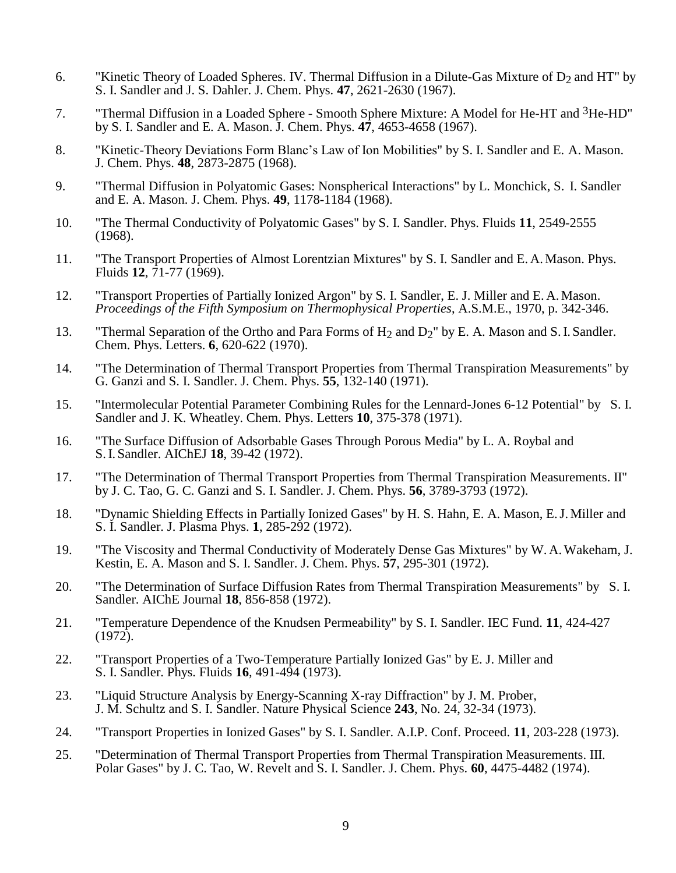- 6. "Kinetic Theory of Loaded Spheres. IV. Thermal Diffusion in a Dilute-Gas Mixture of  $D_2$  and HT" by S. I. Sandler and J. S. Dahler. J. Chem. Phys. **47**, 2621-2630 (1967).
- 7. "Thermal Diffusion in a Loaded Sphere Smooth Sphere Mixture: A Model for He-HT and 3He-HD" by S. I. Sandler and E. A. Mason. J. Chem. Phys. **47**, 4653-4658 (1967).
- 8. "Kinetic-Theory Deviations Form Blanc's Law of Ion Mobilities" by S. I. Sandler and E. A. Mason. J. Chem. Phys. **48**, 2873-2875 (1968).
- 9. "Thermal Diffusion in Polyatomic Gases: Nonspherical Interactions" by L. Monchick, S. I. Sandler and E. A. Mason. J. Chem. Phys. **49**, 1178-1184 (1968).
- 10. "The Thermal Conductivity of Polyatomic Gases" by S. I. Sandler. Phys. Fluids **11**, 2549-2555 (1968).
- 11. "The Transport Properties of Almost Lorentzian Mixtures" by S. I. Sandler and E. A. Mason. Phys. Fluids **12**, 71-77 (1969).
- 12. "Transport Properties of Partially Ionized Argon" by S. I. Sandler, E. J. Miller and E. A. Mason. *Proceedings of the Fifth Symposium on Thermophysical Properties*, A.S.M.E., 1970, p. 342-346.
- 13. "Thermal Separation of the Ortho and Para Forms of  $H_2$  and  $D_2$ " by E. A. Mason and S. I. Sandler. Chem. Phys. Letters. **6**, 620-622 (1970).
- 14. "The Determination of Thermal Transport Properties from Thermal Transpiration Measurements" by G. Ganzi and S. I. Sandler. J. Chem. Phys. **55**, 132-140 (1971).
- 15. "Intermolecular Potential Parameter Combining Rules for the Lennard-Jones 6-12 Potential" by S. I. Sandler and J. K. Wheatley. Chem. Phys. Letters **10**, 375-378 (1971).
- 16. "The Surface Diffusion of Adsorbable Gases Through Porous Media" by L. A. Roybal and S.I. Sandler. AIChEJ **18**, 39-42 (1972).
- 17. "The Determination of Thermal Transport Properties from Thermal Transpiration Measurements. II" by J. C. Tao, G. C. Ganzi and S. I. Sandler. J. Chem. Phys. **56**, 3789-3793 (1972).
- 18. "Dynamic Shielding Effects in Partially Ionized Gases" by H. S. Hahn, E. A. Mason, E.J. Miller and S. I. Sandler. J. Plasma Phys. **1**, 285-292 (1972).
- 19. "The Viscosity and Thermal Conductivity of Moderately Dense Gas Mixtures" by W. A.Wakeham, J. Kestin, E. A. Mason and S. I. Sandler. J. Chem. Phys. **57**, 295-301 (1972).
- 20. "The Determination of Surface Diffusion Rates from Thermal Transpiration Measurements" by S. I. Sandler. AIChE Journal **18**, 856-858 (1972).
- 21. "Temperature Dependence of the Knudsen Permeability" by S. I. Sandler. IEC Fund. **11**, 424-427 (1972).
- 22. "Transport Properties of a Two-Temperature Partially Ionized Gas" by E. J. Miller and S. I. Sandler. Phys. Fluids **16**, 491-494 (1973).
- 23. "Liquid Structure Analysis by Energy-Scanning X-ray Diffraction" by J. M. Prober, J. M. Schultz and S. I. Sandler. Nature Physical Science **243**, No. 24, 32-34 (1973).
- 24. "Transport Properties in Ionized Gases" by S. I. Sandler. A.I.P. Conf. Proceed. **11**, 203-228 (1973).
- 25. "Determination of Thermal Transport Properties from Thermal Transpiration Measurements. III. Polar Gases" by J. C. Tao, W. Revelt and S. I. Sandler. J. Chem. Phys. **60**, 4475-4482 (1974).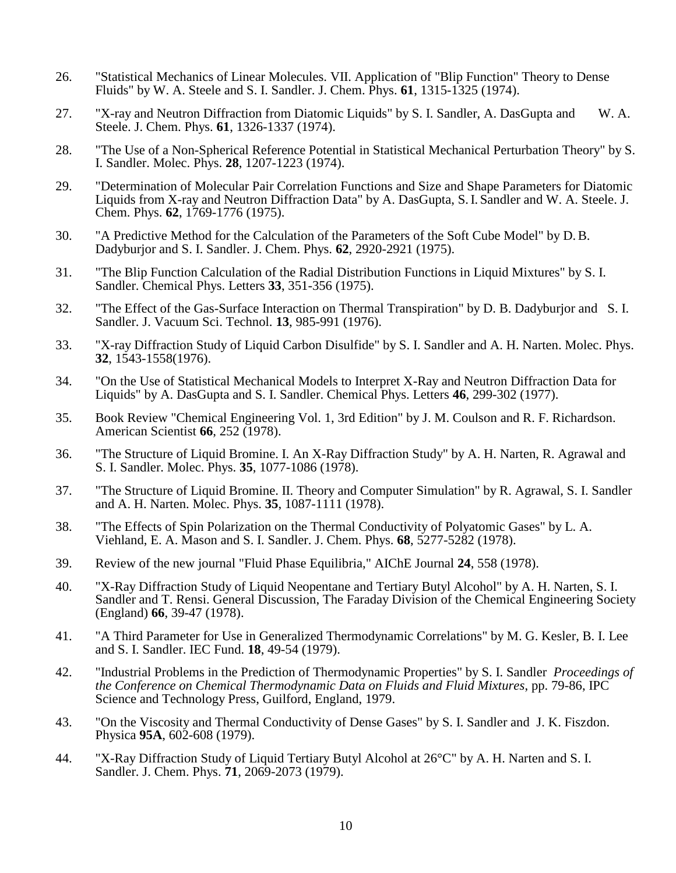- 26. "Statistical Mechanics of Linear Molecules. VII. Application of "Blip Function" Theory to Dense Fluids" by W. A. Steele and S. I. Sandler. J. Chem. Phys. **61**, 1315-1325 (1974).
- 27. "X-ray and Neutron Diffraction from Diatomic Liquids" by S. I. Sandler, A. DasGupta and W. A. Steele. J. Chem. Phys. **61**, 1326-1337 (1974).
- 28. "The Use of a Non-Spherical Reference Potential in Statistical Mechanical Perturbation Theory" by S. I. Sandler. Molec. Phys. **28**, 1207-1223 (1974).
- 29. "Determination of Molecular Pair Correlation Functions and Size and Shape Parameters for Diatomic Liquids from X-ray and Neutron Diffraction Data" by A. DasGupta, S.I. Sandler and W. A. Steele. J. Chem. Phys. **62**, 1769-1776 (1975).
- 30. "A Predictive Method for the Calculation of the Parameters of the Soft Cube Model" by D.B. Dadyburjor and S. I. Sandler. J. Chem. Phys. **62**, 2920-2921 (1975).
- 31. "The Blip Function Calculation of the Radial Distribution Functions in Liquid Mixtures" by S. I. Sandler. Chemical Phys. Letters **33**, 351-356 (1975).
- 32. "The Effect of the Gas-Surface Interaction on Thermal Transpiration" by D. B. Dadyburjor and S. I. Sandler. J. Vacuum Sci. Technol. **13**, 985-991 (1976).
- 33. "X-ray Diffraction Study of Liquid Carbon Disulfide" by S. I. Sandler and A. H. Narten. Molec. Phys. **32**, 1543-1558(1976).
- 34. "On the Use of Statistical Mechanical Models to Interpret X-Ray and Neutron Diffraction Data for Liquids" by A. DasGupta and S. I. Sandler. Chemical Phys. Letters **46**, 299-302 (1977).
- 35. Book Review "Chemical Engineering Vol. 1, 3rd Edition" by J. M. Coulson and R. F. Richardson. American Scientist **66**, 252 (1978).
- 36. "The Structure of Liquid Bromine. I. An X-Ray Diffraction Study" by A. H. Narten, R. Agrawal and S. I. Sandler. Molec. Phys. **35**, 1077-1086 (1978).
- 37. "The Structure of Liquid Bromine. II. Theory and Computer Simulation" by R. Agrawal, S. I. Sandler and A. H. Narten. Molec. Phys. **35**, 1087-1111 (1978).
- 38. "The Effects of Spin Polarization on the Thermal Conductivity of Polyatomic Gases" by L. A. Viehland, E. A. Mason and S. I. Sandler. J. Chem. Phys. **68**, 5277-5282 (1978).
- 39. Review of the new journal "Fluid Phase Equilibria," AIChE Journal **24**, 558 (1978).
- 40. "X-Ray Diffraction Study of Liquid Neopentane and Tertiary Butyl Alcohol" by A. H. Narten, S. I. Sandler and T. Rensi. General Discussion, The Faraday Division of the Chemical Engineering Society (England) **66**, 39-47 (1978).
- 41. "A Third Parameter for Use in Generalized Thermodynamic Correlations" by M. G. Kesler, B. I. Lee and S. I. Sandler. IEC Fund. **18**, 49-54 (1979).
- 42. "Industrial Problems in the Prediction of Thermodynamic Properties" by S. I. Sandler *Proceedings of the Conference on Chemical Thermodynamic Data on Fluids and Fluid Mixtures*, pp. 79-86, IPC Science and Technology Press, Guilford, England, 1979.
- 43. "On the Viscosity and Thermal Conductivity of Dense Gases" by S. I. Sandler and J. K. Fiszdon. Physica **95A**, 602-608 (1979).
- 44. "X-Ray Diffraction Study of Liquid Tertiary Butyl Alcohol at 26°C" by A. H. Narten and S. I. Sandler. J. Chem. Phys. **71**, 2069-2073 (1979).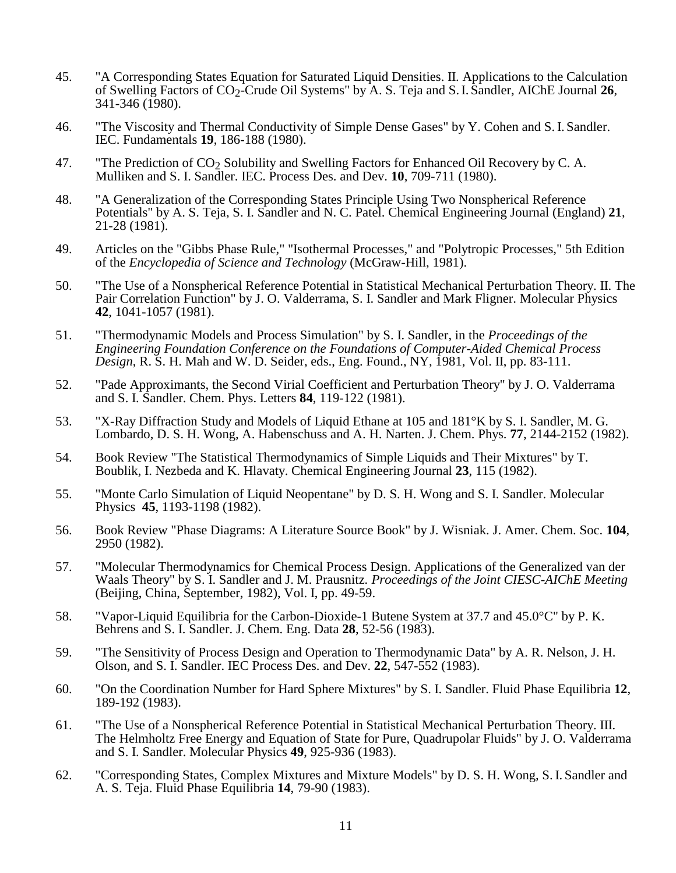- 45. "A Corresponding States Equation for Saturated Liquid Densities. II. Applications to the Calculation of Swelling Factors of CO2-Crude Oil Systems" by A. S. Teja and S.I. Sandler, AIChE Journal **26**, 341-346 (1980).
- 46. "The Viscosity and Thermal Conductivity of Simple Dense Gases" by Y. Cohen and S.I. Sandler. IEC. Fundamentals **19**, 186-188 (1980).
- 47. "The Prediction of  $CO<sub>2</sub>$  Solubility and Swelling Factors for Enhanced Oil Recovery by C. A. Mulliken and S. I. Sandler. IEC. Process Des. and Dev. **10**, 709-711 (1980).
- 48. "A Generalization of the Corresponding States Principle Using Two Nonspherical Reference Potentials" by A. S. Teja, S. I. Sandler and N. C. Patel. Chemical Engineering Journal (England) **21**, 21-28 (1981).
- 49. Articles on the "Gibbs Phase Rule," "Isothermal Processes," and "Polytropic Processes," 5th Edition of the *Encyclopedia of Science and Technology* (McGraw-Hill, 1981).
- 50. "The Use of a Nonspherical Reference Potential in Statistical Mechanical Perturbation Theory. II. The Pair Correlation Function" by J. O. Valderrama, S. I. Sandler and Mark Fligner. Molecular Physics **42**, 1041-1057 (1981).
- 51. "Thermodynamic Models and Process Simulation" by S. I. Sandler, in the *Proceedings of the Engineering Foundation Conference on the Foundations of Computer-Aided Chemical Process Design*, R. S. H. Mah and W. D. Seider, eds., Eng. Found., NY, 1981, Vol. II, pp. 83-111.
- 52. "Pade Approximants, the Second Virial Coefficient and Perturbation Theory" by J. O. Valderrama and S. I. Sandler. Chem. Phys. Letters **84**, 119-122 (1981).
- 53. "X-Ray Diffraction Study and Models of Liquid Ethane at 105 and 181°K by S. I. Sandler, M. G. Lombardo, D. S. H. Wong, A. Habenschuss and A. H. Narten. J. Chem. Phys. **77**, 2144-2152 (1982).
- 54. Book Review "The Statistical Thermodynamics of Simple Liquids and Their Mixtures" by T. Boublik, I. Nezbeda and K. Hlavaty. Chemical Engineering Journal **23**, 115 (1982).
- 55. "Monte Carlo Simulation of Liquid Neopentane" by D. S. H. Wong and S. I. Sandler. Molecular Physics **45**, 1193-1198 (1982).
- 56. Book Review "Phase Diagrams: A Literature Source Book" by J. Wisniak. J. Amer. Chem. Soc. **104**, 2950 (1982).
- 57. "Molecular Thermodynamics for Chemical Process Design. Applications of the Generalized van der Waals Theory" by S. I. Sandler and J. M. Prausnitz*. Proceedings of the Joint CIESC-AIChE Meeting* (Beijing, China, September, 1982), Vol. I, pp. 49-59.
- 58. "Vapor-Liquid Equilibria for the Carbon-Dioxide-1 Butene System at 37.7 and 45.0°C" by P. K. Behrens and S. I. Sandler. J. Chem. Eng. Data **28**, 52-56 (1983).
- 59. "The Sensitivity of Process Design and Operation to Thermodynamic Data" by A. R. Nelson, J. H. Olson, and S. I. Sandler. IEC Process Des. and Dev. **22**, 547-552 (1983).
- 60. "On the Coordination Number for Hard Sphere Mixtures" by S. I. Sandler. Fluid Phase Equilibria **12**, 189-192 (1983).
- 61. "The Use of a Nonspherical Reference Potential in Statistical Mechanical Perturbation Theory. III. The Helmholtz Free Energy and Equation of State for Pure, Quadrupolar Fluids" by J. O. Valderrama and S. I. Sandler. Molecular Physics **49**, 925-936 (1983).
- 62. "Corresponding States, Complex Mixtures and Mixture Models" by D. S. H. Wong, S. I. Sandler and A. S. Teja. Fluid Phase Equilibria **14**, 79-90 (1983).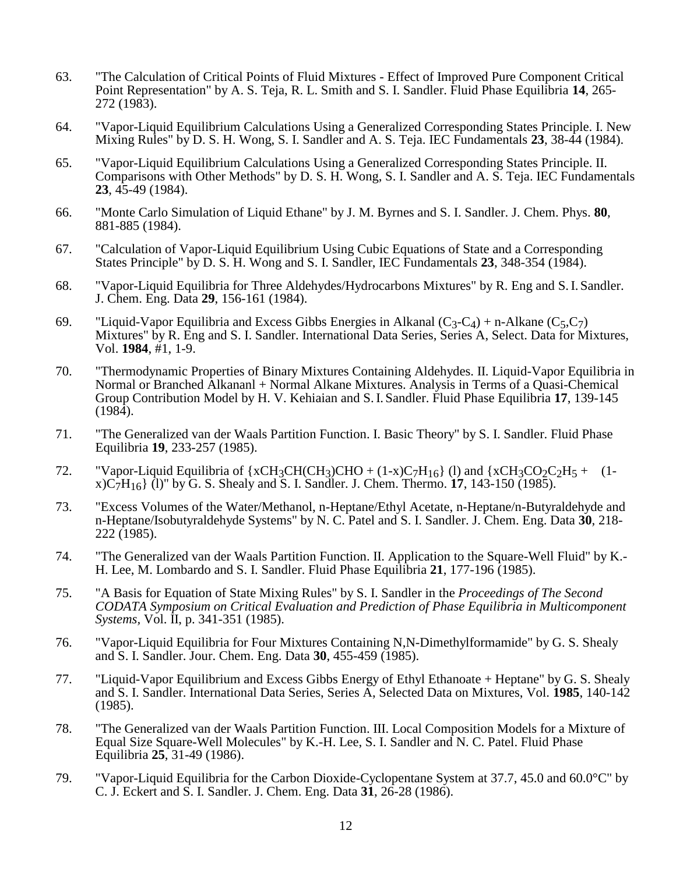- 63. "The Calculation of Critical Points of Fluid Mixtures Effect of Improved Pure Component Critical Point Representation" by A. S. Teja, R. L. Smith and S. I. Sandler. Fluid Phase Equilibria **14**, 265- 272 (1983).
- 64. "Vapor-Liquid Equilibrium Calculations Using a Generalized Corresponding States Principle. I. New Mixing Rules" by D. S. H. Wong, S. I. Sandler and A. S. Teja. IEC Fundamentals **23**, 38-44 (1984).
- 65. "Vapor-Liquid Equilibrium Calculations Using a Generalized Corresponding States Principle. II. Comparisons with Other Methods" by D. S. H. Wong, S. I. Sandler and A. S. Teja. IEC Fundamentals **23**, 45-49 (1984).
- 66. "Monte Carlo Simulation of Liquid Ethane" by J. M. Byrnes and S. I. Sandler. J. Chem. Phys. **80**, 881-885 (1984).
- 67. "Calculation of Vapor-Liquid Equilibrium Using Cubic Equations of State and a Corresponding States Principle" by D. S. H. Wong and S. I. Sandler, IEC Fundamentals **23**, 348-354 (1984).
- 68. "Vapor-Liquid Equilibria for Three Aldehydes/Hydrocarbons Mixtures" by R. Eng and S.I. Sandler. J. Chem. Eng. Data **29**, 156-161 (1984).
- 69. "Liquid-Vapor Equilibria and Excess Gibbs Energies in Alkanal  $(C_3-C_4)$  + n-Alkane  $(C_5,C_7)$ Mixtures" by R. Eng and S. I. Sandler. International Data Series, Series A, Select. Data for Mixtures, Vol. **1984**, #1, 1-9.
- 70. "Thermodynamic Properties of Binary Mixtures Containing Aldehydes. II. Liquid-Vapor Equilibria in Normal or Branched Alkananl + Normal Alkane Mixtures. Analysis in Terms of a Quasi-Chemical Group Contribution Model by H. V. Kehiaian and S.I. Sandler. Fluid Phase Equilibria **17**, 139-145 (1984).
- 71. "The Generalized van der Waals Partition Function. I. Basic Theory" by S. I. Sandler. Fluid Phase Equilibria **19**, 233-257 (1985).
- 72. "Vapor-Liquid Equilibria of  $\{xCH_3CH(CH_3)CHO + (1-x)C_7H_{16}\}$  (1) and  $\{xCH_3CO_2C_2H_5 + (1-x)C_2H_{16}\}$ x)C7H16} (l)" by G. S. Shealy and S. I. Sandler. J. Chem. Thermo. **17**, 143-150 (1985).
- 73. "Excess Volumes of the Water/Methanol, n-Heptane/Ethyl Acetate, n-Heptane/n-Butyraldehyde and n-Heptane/Isobutyraldehyde Systems" by N. C. Patel and S. I. Sandler. J. Chem. Eng. Data **30**, 218- 222 (1985).
- 74. "The Generalized van der Waals Partition Function. II. Application to the Square-Well Fluid" by K.- H. Lee, M. Lombardo and S. I. Sandler. Fluid Phase Equilibria **21**, 177-196 (1985).
- 75. "A Basis for Equation of State Mixing Rules" by S. I. Sandler in the *Proceedings of The Second CODATA Symposium on Critical Evaluation and Prediction of Phase Equilibria in Multicomponent Systems,* Vol. II, p. 341-351 (1985).
- 76. "Vapor-Liquid Equilibria for Four Mixtures Containing N,N-Dimethylformamide" by G. S. Shealy and S. I. Sandler. Jour. Chem. Eng. Data **30**, 455-459 (1985).
- 77. "Liquid-Vapor Equilibrium and Excess Gibbs Energy of Ethyl Ethanoate + Heptane" by G. S. Shealy and S. I. Sandler. International Data Series, Series A, Selected Data on Mixtures, Vol. **1985**, 140-142 (1985).
- 78. "The Generalized van der Waals Partition Function. III. Local Composition Models for a Mixture of Equal Size Square-Well Molecules" by K.-H. Lee, S. I. Sandler and N. C. Patel. Fluid Phase Equilibria **25**, 31-49 (1986).
- 79. "Vapor-Liquid Equilibria for the Carbon Dioxide-Cyclopentane System at 37.7, 45.0 and 60.0°C" by C. J. Eckert and S. I. Sandler. J. Chem. Eng. Data **31**, 26-28 (1986).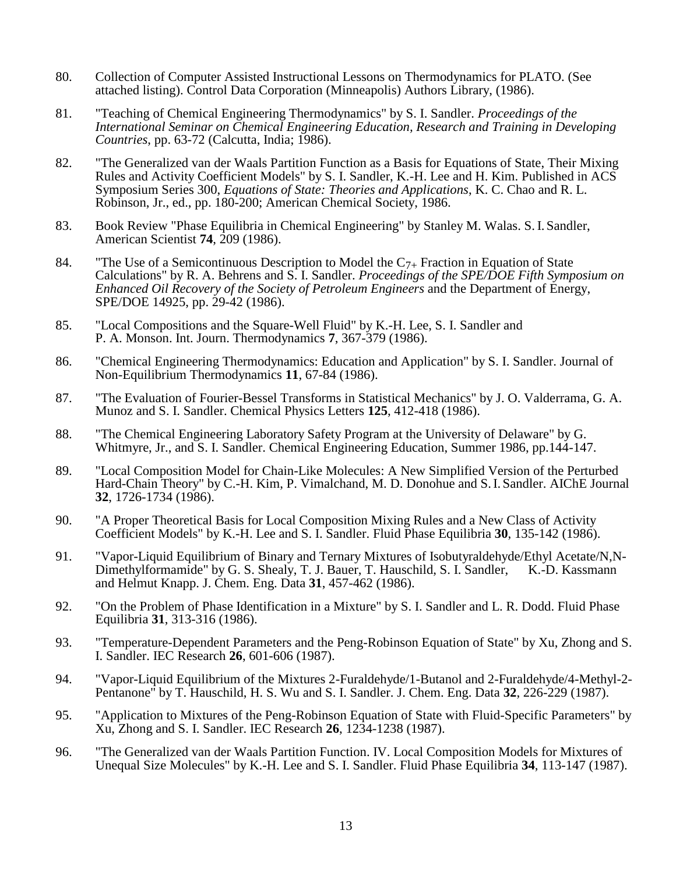- 80. Collection of Computer Assisted Instructional Lessons on Thermodynamics for PLATO. (See attached listing). Control Data Corporation (Minneapolis) Authors Library, (1986).
- 81. "Teaching of Chemical Engineering Thermodynamics" by S. I. Sandler. *Proceedings of the International Seminar on Chemical Engineering Education, Research and Training in Developing Countries*, pp. 63-72 (Calcutta, India; 1986).
- 82. "The Generalized van der Waals Partition Function as a Basis for Equations of State, Their Mixing Rules and Activity Coefficient Models" by S. I. Sandler, K.-H. Lee and H. Kim. Published in ACS Symposium Series 300, *Equations of State: Theories and Applications*, K. C. Chao and R. L. Robinson, Jr., ed., pp. 180-200; American Chemical Society, 1986.
- 83. Book Review "Phase Equilibria in Chemical Engineering" by Stanley M. Walas. S.I. Sandler, American Scientist **74**, 209 (1986).
- 84. "The Use of a Semicontinuous Description to Model the  $C_{7+}$  Fraction in Equation of State Calculations" by R. A. Behrens and S. I. Sandler. *Proceedings of the SPE/DOE Fifth Symposium on Enhanced Oil Recovery of the Society of Petroleum Engineers* and the Department of Energy, SPE/DOE 14925, pp. 29-42 (1986).
- 85. "Local Compositions and the Square-Well Fluid" by K.-H. Lee, S. I. Sandler and P. A. Monson. Int. Journ. Thermodynamics **7**, 367-379 (1986).
- 86. "Chemical Engineering Thermodynamics: Education and Application" by S. I. Sandler. Journal of Non-Equilibrium Thermodynamics **11**, 67-84 (1986).
- 87. "The Evaluation of Fourier-Bessel Transforms in Statistical Mechanics" by J. O. Valderrama, G. A. Munoz and S. I. Sandler. Chemical Physics Letters **125**, 412-418 (1986).
- 88. "The Chemical Engineering Laboratory Safety Program at the University of Delaware" by G. Whitmyre, Jr., and S. I. Sandler. Chemical Engineering Education, Summer 1986, pp.144-147.
- 89. "Local Composition Model for Chain-Like Molecules: A New Simplified Version of the Perturbed Hard-Chain Theory" by C.-H. Kim, P. Vimalchand, M. D. Donohue and S.I. Sandler. AIChE Journal **32**, 1726-1734 (1986).
- 90. "A Proper Theoretical Basis for Local Composition Mixing Rules and a New Class of Activity Coefficient Models" by K.-H. Lee and S. I. Sandler. Fluid Phase Equilibria **30**, 135-142 (1986).
- 91. "Vapor-Liquid Equilibrium of Binary and Ternary Mixtures of Isobutyraldehyde/Ethyl Acetate/N,N-Dimethylformamide" by G. S. Shealy, T. J. Bauer, T. Hauschild, S. I. Sandler, K.-D. Kassmann and Helmut Knapp. J. Chem. Eng. Data **31**, 457-462 (1986).
- 92. "On the Problem of Phase Identification in a Mixture" by S. I. Sandler and L. R. Dodd. Fluid Phase Equilibria **31**, 313-316 (1986).
- 93. "Temperature-Dependent Parameters and the Peng-Robinson Equation of State" by Xu, Zhong and S. I. Sandler. IEC Research **26**, 601-606 (1987).
- 94. "Vapor-Liquid Equilibrium of the Mixtures 2-Furaldehyde/1-Butanol and 2-Furaldehyde/4-Methyl-2- Pentanone" by T. Hauschild, H. S. Wu and S. I. Sandler. J. Chem. Eng. Data **32**, 226-229 (1987).
- 95. "Application to Mixtures of the Peng-Robinson Equation of State with Fluid-Specific Parameters" by Xu, Zhong and S. I. Sandler. IEC Research **26**, 1234-1238 (1987).
- 96. "The Generalized van der Waals Partition Function. IV. Local Composition Models for Mixtures of Unequal Size Molecules" by K.-H. Lee and S. I. Sandler. Fluid Phase Equilibria **34**, 113-147 (1987).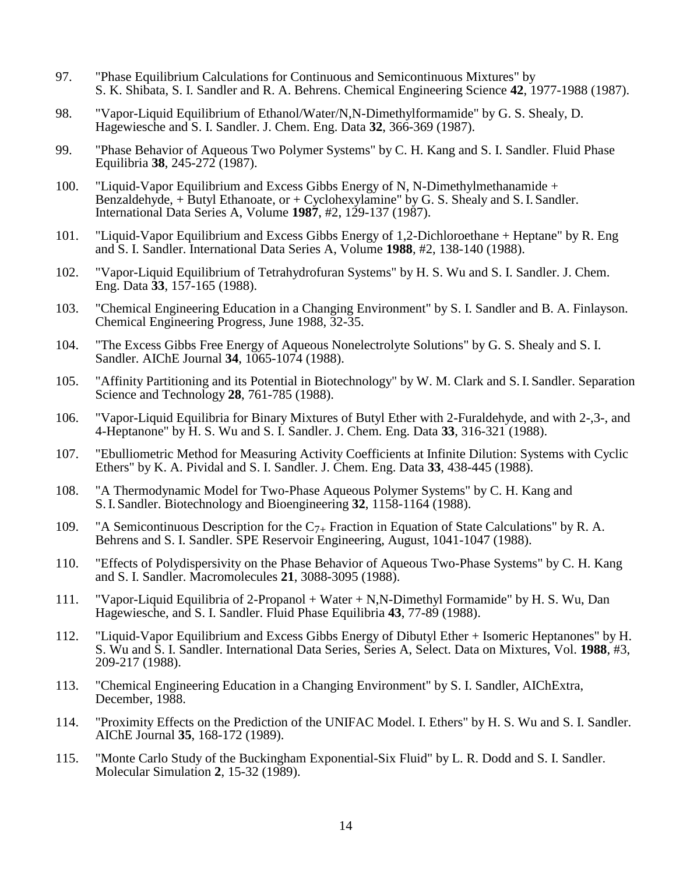- 97. "Phase Equilibrium Calculations for Continuous and Semicontinuous Mixtures" by S. K. Shibata, S. I. Sandler and R. A. Behrens. Chemical Engineering Science **42**, 1977-1988 (1987).
- 98. "Vapor-Liquid Equilibrium of Ethanol/Water/N,N-Dimethylformamide" by G. S. Shealy, D. Hagewiesche and S. I. Sandler. J. Chem. Eng. Data **32**, 366-369 (1987).
- 99. "Phase Behavior of Aqueous Two Polymer Systems" by C. H. Kang and S. I. Sandler. Fluid Phase Equilibria **38**, 245-272 (1987).
- 100. "Liquid-Vapor Equilibrium and Excess Gibbs Energy of N, N-Dimethylmethanamide + Benzaldehyde,  $+$  Butyl Ethanoate, or  $+$  Cyclohexylamine" by G. S. Shealy and S. I. Sandler. International Data Series A, Volume **1987**, #2, 129-137 (1987).
- 101. "Liquid-Vapor Equilibrium and Excess Gibbs Energy of 1,2-Dichloroethane + Heptane" by R. Eng and S. I. Sandler. International Data Series A, Volume **1988**, #2, 138-140 (1988).
- 102. "Vapor-Liquid Equilibrium of Tetrahydrofuran Systems" by H. S. Wu and S. I. Sandler. J. Chem. Eng. Data **33**, 157-165 (1988).
- 103. "Chemical Engineering Education in a Changing Environment" by S. I. Sandler and B. A. Finlayson. Chemical Engineering Progress, June 1988, 32-35.
- 104. "The Excess Gibbs Free Energy of Aqueous Nonelectrolyte Solutions" by G. S. Shealy and S. I. Sandler. AIChE Journal **34**, 1065-1074 (1988).
- 105. "Affinity Partitioning and its Potential in Biotechnology" by W. M. Clark and S.I. Sandler. Separation Science and Technology **28**, 761-785 (1988).
- 106. "Vapor-Liquid Equilibria for Binary Mixtures of Butyl Ether with 2-Furaldehyde, and with 2-,3-, and 4-Heptanone" by H. S. Wu and S. I. Sandler. J. Chem. Eng. Data **33**, 316-321 (1988).
- 107. "Ebulliometric Method for Measuring Activity Coefficients at Infinite Dilution: Systems with Cyclic Ethers" by K. A. Pividal and S. I. Sandler. J. Chem. Eng. Data **33**, 438-445 (1988).
- 108. "A Thermodynamic Model for Two-Phase Aqueous Polymer Systems" by C. H. Kang and S.I. Sandler. Biotechnology and Bioengineering **32**, 1158-1164 (1988).
- 109. "A Semicontinuous Description for the  $C_{7+}$  Fraction in Equation of State Calculations" by R. A. Behrens and S. I. Sandler. SPE Reservoir Engineering, August, 1041-1047 (1988).
- 110. "Effects of Polydispersivity on the Phase Behavior of Aqueous Two-Phase Systems" by C. H. Kang and S. I. Sandler. Macromolecules **21**, 3088-3095 (1988).
- 111. "Vapor-Liquid Equilibria of 2-Propanol + Water + N,N-Dimethyl Formamide" by H. S. Wu, Dan Hagewiesche, and S. I. Sandler. Fluid Phase Equilibria **43**, 77-89 (1988).
- 112. "Liquid-Vapor Equilibrium and Excess Gibbs Energy of Dibutyl Ether + Isomeric Heptanones" by H. S. Wu and S. I. Sandler. International Data Series, Series A, Select. Data on Mixtures, Vol. **1988**, #3, 209-217 (1988).
- 113. "Chemical Engineering Education in a Changing Environment" by S. I. Sandler, AIChExtra, December, 1988.
- 114. "Proximity Effects on the Prediction of the UNIFAC Model. I. Ethers" by H. S. Wu and S. I. Sandler. AIChE Journal **35**, 168-172 (1989).
- 115. "Monte Carlo Study of the Buckingham Exponential-Six Fluid" by L. R. Dodd and S. I. Sandler. Molecular Simulation **2**, 15-32 (1989).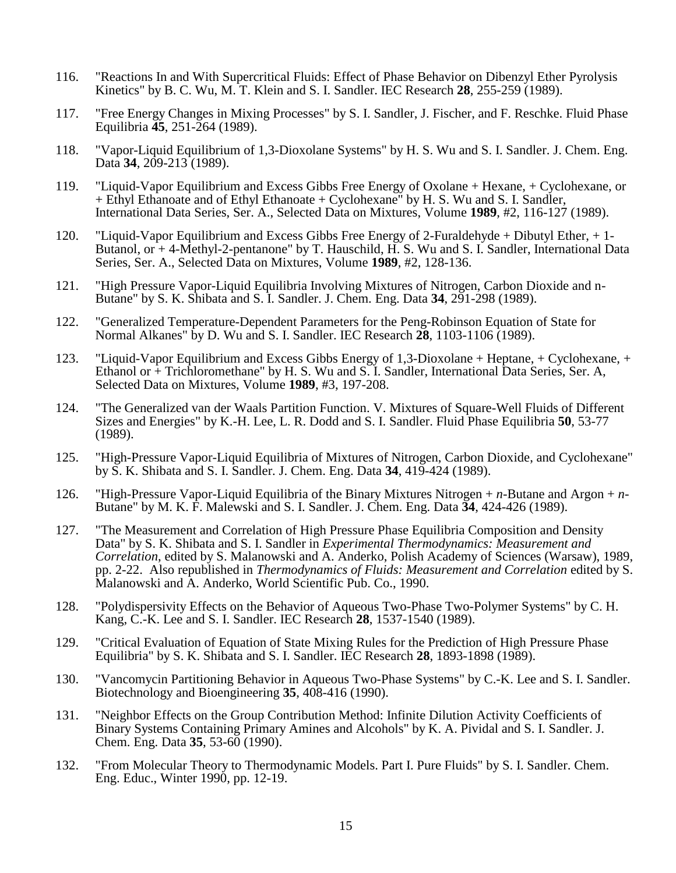- 116. "Reactions In and With Supercritical Fluids: Effect of Phase Behavior on Dibenzyl Ether Pyrolysis Kinetics" by B. C. Wu, M. T. Klein and S. I. Sandler. IEC Research **28**, 255-259 (1989).
- 117. "Free Energy Changes in Mixing Processes" by S. I. Sandler, J. Fischer, and F. Reschke. Fluid Phase Equilibria **45**, 251-264 (1989).
- 118. "Vapor-Liquid Equilibrium of 1,3-Dioxolane Systems" by H. S. Wu and S. I. Sandler. J. Chem. Eng. Data 34, 209-213 (1989).
- 119. "Liquid-Vapor Equilibrium and Excess Gibbs Free Energy of Oxolane + Hexane, + Cyclohexane, or + Ethyl Ethanoate and of Ethyl Ethanoate + Cyclohexane" by H. S. Wu and S. I. Sandler, International Data Series, Ser. A., Selected Data on Mixtures, Volume **1989**, #2, 116-127 (1989).
- 120. "Liquid-Vapor Equilibrium and Excess Gibbs Free Energy of 2-Furaldehyde + Dibutyl Ether, + 1- Butanol, or + 4-Methyl-2-pentanone" by T. Hauschild, H. S. Wu and S. I. Sandler, International Data Series, Ser. A., Selected Data on Mixtures, Volume **1989**, #2, 128-136.
- 121. "High Pressure Vapor-Liquid Equilibria Involving Mixtures of Nitrogen, Carbon Dioxide and n-Butane" by S. K. Shibata and S. I. Sandler. J. Chem. Eng. Data **34**, 291-298 (1989).
- 122. "Generalized Temperature-Dependent Parameters for the Peng-Robinson Equation of State for Normal Alkanes" by D. Wu and S. I. Sandler. IEC Research **28**, 1103-1106 (1989).
- 123. "Liquid-Vapor Equilibrium and Excess Gibbs Energy of 1,3-Dioxolane + Heptane, + Cyclohexane, + Ethanol or + Trichloromethane" by H. S. Wu and S. I. Sandler, International Data Series, Ser. A, Selected Data on Mixtures, Volume **1989**, #3, 197-208.
- 124. "The Generalized van der Waals Partition Function. V. Mixtures of Square-Well Fluids of Different Sizes and Energies" by K.-H. Lee, L. R. Dodd and S. I. Sandler. Fluid Phase Equilibria **50**, 53-77 (1989).
- 125. "High-Pressure Vapor-Liquid Equilibria of Mixtures of Nitrogen, Carbon Dioxide, and Cyclohexane" by S. K. Shibata and S. I. Sandler. J. Chem. Eng. Data **34**, 419-424 (1989).
- 126. "High-Pressure Vapor-Liquid Equilibria of the Binary Mixtures Nitrogen + *n*-Butane and Argon + *n*-Butane" by M. K. F. Malewski and S. I. Sandler. J. Chem. Eng. Data **34**, 424-426 (1989).
- 127. "The Measurement and Correlation of High Pressure Phase Equilibria Composition and Density Data" by S. K. Shibata and S. I. Sandler in *Experimental Thermodynamics: Measurement and Correlation*, edited by S. Malanowski and A. Anderko, Polish Academy of Sciences (Warsaw), 1989, pp. 2-22. Also republished in *Thermodynamics of Fluids: Measurement and Correlation* edited by S. Malanowski and A. Anderko, World Scientific Pub. Co., 1990.
- 128. "Polydispersivity Effects on the Behavior of Aqueous Two-Phase Two-Polymer Systems" by C. H. Kang, C.-K. Lee and S. I. Sandler. IEC Research **28**, 1537-1540 (1989).
- 129. "Critical Evaluation of Equation of State Mixing Rules for the Prediction of High Pressure Phase Equilibria" by S. K. Shibata and S. I. Sandler. IEC Research **28**, 1893-1898 (1989).
- 130. "Vancomycin Partitioning Behavior in Aqueous Two-Phase Systems" by C.-K. Lee and S. I. Sandler. Biotechnology and Bioengineering **35**, 408-416 (1990).
- 131. "Neighbor Effects on the Group Contribution Method: Infinite Dilution Activity Coefficients of Binary Systems Containing Primary Amines and Alcohols" by K. A. Pividal and S. I. Sandler. J. Chem. Eng. Data **35**, 53-60 (1990).
- 132. "From Molecular Theory to Thermodynamic Models. Part I. Pure Fluids" by S. I. Sandler. Chem. Eng. Educ., Winter 1990, pp. 12-19.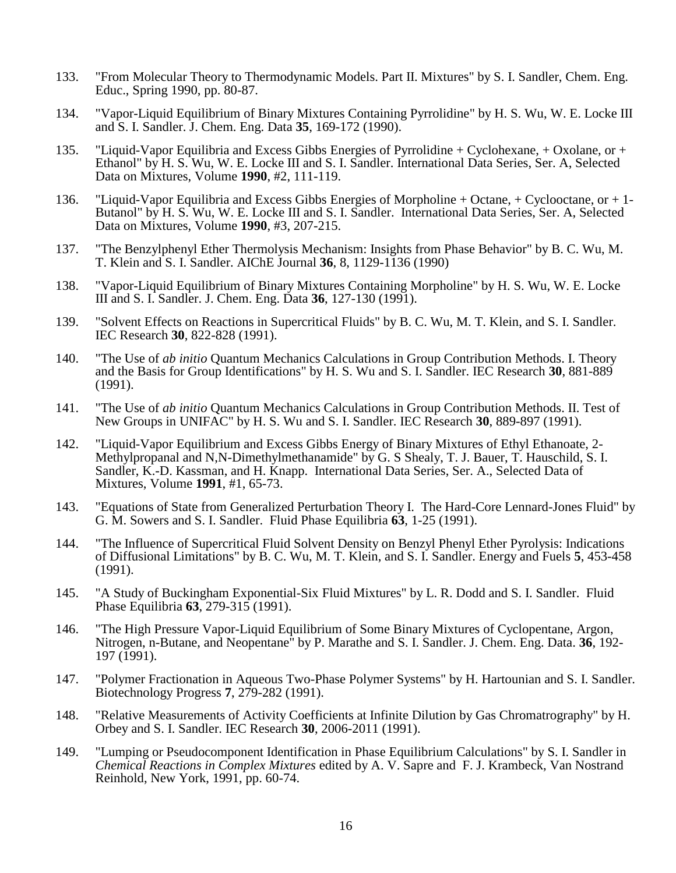- 133. "From Molecular Theory to Thermodynamic Models. Part II. Mixtures" by S. I. Sandler, Chem. Eng. Educ., Spring 1990, pp. 80-87.
- 134. "Vapor-Liquid Equilibrium of Binary Mixtures Containing Pyrrolidine" by H. S. Wu, W. E. Locke III and S. I. Sandler. J. Chem. Eng. Data **35**, 169-172 (1990).
- 135. "Liquid-Vapor Equilibria and Excess Gibbs Energies of Pyrrolidine + Cyclohexane, + Oxolane, or + Ethanol" by H. S. Wu, W. E. Locke III and S. I. Sandler. International Data Series, Ser. A, Selected Data on Mixtures, Volume **1990**, #2, 111-119.
- 136. "Liquid-Vapor Equilibria and Excess Gibbs Energies of Morpholine + Octane, + Cyclooctane, or + 1- Butanol" by H. S. Wu, W. E. Locke III and S. I. Sandler. International Data Series, Ser. A, Selected Data on Mixtures, Volume **1990**, #3, 207-215.
- 137. "The Benzylphenyl Ether Thermolysis Mechanism: Insights from Phase Behavior" by B. C. Wu, M. T. Klein and S. I. Sandler. AIChE Journal **36**, 8, 1129-1136 (1990)
- 138. "Vapor-Liquid Equilibrium of Binary Mixtures Containing Morpholine" by H. S. Wu, W. E. Locke III and S. I. Sandler. J. Chem. Eng. Data **36**, 127-130 (1991).
- 139. "Solvent Effects on Reactions in Supercritical Fluids" by B. C. Wu, M. T. Klein, and S. I. Sandler. IEC Research **30**, 822-828 (1991).
- 140. "The Use of *ab initio* Quantum Mechanics Calculations in Group Contribution Methods. I. Theory and the Basis for Group Identifications" by H. S. Wu and S. I. Sandler. IEC Research **30**, 881-889 (1991).
- 141. "The Use of *ab initio* Quantum Mechanics Calculations in Group Contribution Methods. II. Test of New Groups in UNIFAC" by H. S. Wu and S. I. Sandler. IEC Research **30**, 889-897 (1991).
- 142. "Liquid-Vapor Equilibrium and Excess Gibbs Energy of Binary Mixtures of Ethyl Ethanoate, 2- Methylpropanal and N,N-Dimethylmethanamide" by G. S Shealy, T. J. Bauer, T. Hauschild, S. I. Sandler, K.-D. Kassman, and H. Knapp. International Data Series, Ser. A., Selected Data of Mixtures, Volume **1991**, #1, 65-73.
- 143. "Equations of State from Generalized Perturbation Theory I. The Hard-Core Lennard-Jones Fluid" by G. M. Sowers and S. I. Sandler. Fluid Phase Equilibria **63**, 1-25 (1991).
- 144. "The Influence of Supercritical Fluid Solvent Density on Benzyl Phenyl Ether Pyrolysis: Indications of Diffusional Limitations" by B. C. Wu, M. T. Klein, and S. I. Sandler. Energy and Fuels **5**, 453-458 (1991).
- 145. "A Study of Buckingham Exponential-Six Fluid Mixtures" by L. R. Dodd and S. I. Sandler. Fluid Phase Equilibria **63**, 279-315 (1991).
- 146. "The High Pressure Vapor-Liquid Equilibrium of Some Binary Mixtures of Cyclopentane, Argon, Nitrogen, n-Butane, and Neopentane" by P. Marathe and S. I. Sandler. J. Chem. Eng. Data. **36**, 192- 197 (1991).
- 147. "Polymer Fractionation in Aqueous Two-Phase Polymer Systems" by H. Hartounian and S. I. Sandler. Biotechnology Progress **7**, 279-282 (1991).
- 148. "Relative Measurements of Activity Coefficients at Infinite Dilution by Gas Chromatrography" by H. Orbey and S. I. Sandler. IEC Research **30**, 2006-2011 (1991).
- 149. "Lumping or Pseudocomponent Identification in Phase Equilibrium Calculations" by S. I. Sandler in *Chemical Reactions in Complex Mixtures* edited by A. V. Sapre and F. J. Krambeck, Van Nostrand Reinhold, New York, 1991, pp. 60-74.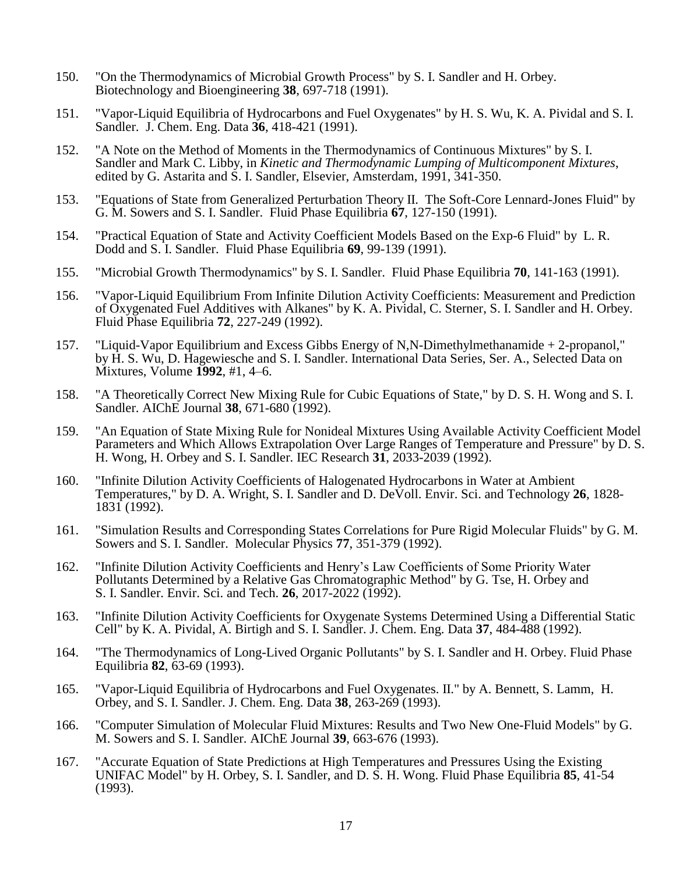- 150. "On the Thermodynamics of Microbial Growth Process" by S. I. Sandler and H. Orbey. Biotechnology and Bioengineering **38**, 697-718 (1991).
- 151. "Vapor-Liquid Equilibria of Hydrocarbons and Fuel Oxygenates" by H. S. Wu, K. A. Pividal and S. I. Sandler. J. Chem. Eng. Data **36**, 418-421 (1991).
- 152. "A Note on the Method of Moments in the Thermodynamics of Continuous Mixtures" by S. I. Sandler and Mark C. Libby, in *Kinetic and Thermodynamic Lumping of Multicomponent Mixtures*, edited by G. Astarita and S. I. Sandler, Elsevier, Amsterdam, 1991, 341-350.
- 153. "Equations of State from Generalized Perturbation Theory II. The Soft-Core Lennard-Jones Fluid" by G. M. Sowers and S. I. Sandler. Fluid Phase Equilibria **67**, 127-150 (1991).
- 154. "Practical Equation of State and Activity Coefficient Models Based on the Exp-6 Fluid" by L. R. Dodd and S. I. Sandler. Fluid Phase Equilibria **69**, 99-139 (1991).
- 155. "Microbial Growth Thermodynamics" by S. I. Sandler. Fluid Phase Equilibria **70**, 141-163 (1991).
- 156. "Vapor-Liquid Equilibrium From Infinite Dilution Activity Coefficients: Measurement and Prediction of Oxygenated Fuel Additives with Alkanes" by K. A. Pividal, C. Sterner, S. I. Sandler and H. Orbey. Fluid Phase Equilibria **72**, 227-249 (1992).
- 157. "Liquid-Vapor Equilibrium and Excess Gibbs Energy of N,N-Dimethylmethanamide + 2-propanol," by H. S. Wu, D. Hagewiesche and S. I. Sandler. International Data Series, Ser. A., Selected Data on Mixtures, Volume **1992**, #1, 4–6.
- 158. "A Theoretically Correct New Mixing Rule for Cubic Equations of State," by D. S. H. Wong and S. I. Sandler. AIChE Journal **38**, 671-680 (1992).
- 159. "An Equation of State Mixing Rule for Nonideal Mixtures Using Available Activity Coefficient Model Parameters and Which Allows Extrapolation Over Large Ranges of Temperature and Pressure" by D. S. H. Wong, H. Orbey and S. I. Sandler. IEC Research **31**, 2033-2039 (1992).
- 160. "Infinite Dilution Activity Coefficients of Halogenated Hydrocarbons in Water at Ambient Temperatures," by D. A. Wright, S. I. Sandler and D. DeVoll. Envir. Sci. and Technology **26**, 1828- 1831 (1992).
- 161. "Simulation Results and Corresponding States Correlations for Pure Rigid Molecular Fluids" by G. M. Sowers and S. I. Sandler. Molecular Physics **77**, 351-379 (1992).
- 162. "Infinite Dilution Activity Coefficients and Henry's Law Coefficients of Some Priority Water Pollutants Determined by a Relative Gas Chromatographic Method" by G. Tse, H. Orbey and S. I. Sandler. Envir. Sci. and Tech. **26**, 2017-2022 (1992).
- 163. "Infinite Dilution Activity Coefficients for Oxygenate Systems Determined Using a Differential Static Cell" by K. A. Pividal, A. Birtigh and S. I. Sandler. J. Chem. Eng. Data **37**, 484-488 (1992).
- 164. "The Thermodynamics of Long-Lived Organic Pollutants" by S. I. Sandler and H. Orbey. Fluid Phase Equilibria **82**, 63-69 (1993).
- 165. "Vapor-Liquid Equilibria of Hydrocarbons and Fuel Oxygenates. II." by A. Bennett, S. Lamm, H. Orbey, and S. I. Sandler. J. Chem. Eng. Data **38**, 263-269 (1993).
- 166. "Computer Simulation of Molecular Fluid Mixtures: Results and Two New One-Fluid Models" by G. M. Sowers and S. I. Sandler. AIChE Journal **39**, 663-676 (1993).
- 167. "Accurate Equation of State Predictions at High Temperatures and Pressures Using the Existing UNIFAC Model" by H. Orbey, S. I. Sandler, and D. S. H. Wong. Fluid Phase Equilibria **85**, 41-54 (1993).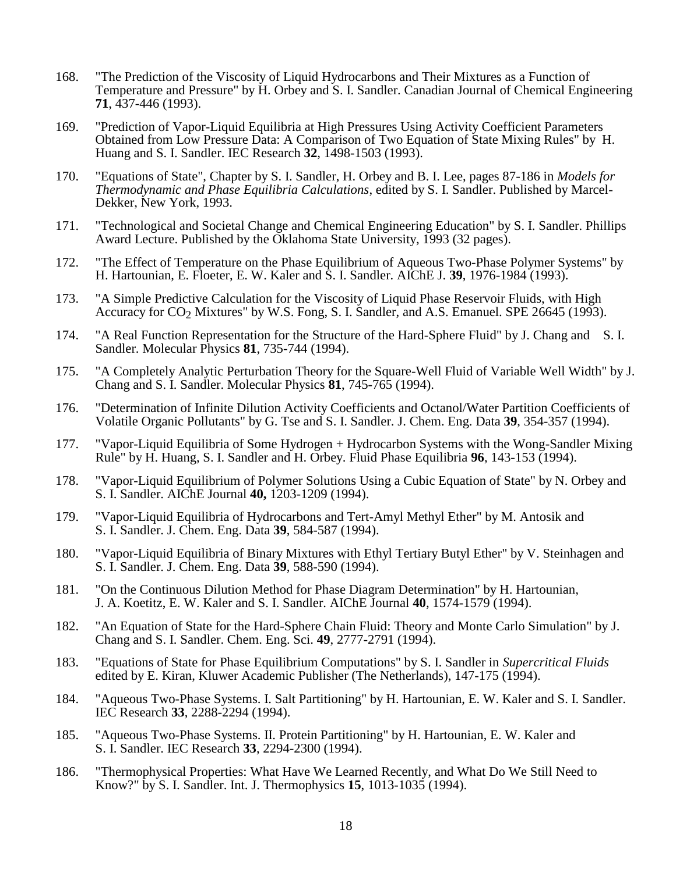- 168. "The Prediction of the Viscosity of Liquid Hydrocarbons and Their Mixtures as a Function of Temperature and Pressure" by H. Orbey and S. I. Sandler. Canadian Journal of Chemical Engineering **71**, 437-446 (1993).
- 169. "Prediction of Vapor-Liquid Equilibria at High Pressures Using Activity Coefficient Parameters Obtained from Low Pressure Data: A Comparison of Two Equation of State Mixing Rules" by H. Huang and S. I. Sandler. IEC Research **32**, 1498-1503 (1993).
- 170. "Equations of State", Chapter by S. I. Sandler, H. Orbey and B. I. Lee, pages 87-186 in *Models for Thermodynamic and Phase Equilibria Calculations*, edited by S. I. Sandler. Published by Marcel-Dekker, New York, 1993.
- 171. "Technological and Societal Change and Chemical Engineering Education" by S. I. Sandler. Phillips Award Lecture. Published by the Oklahoma State University, 1993 (32 pages).
- 172. "The Effect of Temperature on the Phase Equilibrium of Aqueous Two-Phase Polymer Systems" by H. Hartounian, E. Floeter, E. W. Kaler and S. I. Sandler. AIChE J. **39**, 1976-1984 (1993).
- 173. "A Simple Predictive Calculation for the Viscosity of Liquid Phase Reservoir Fluids, with High Accuracy for  $CO<sub>2</sub>$  Mixtures" by W.S. Fong, S. I. Sandler, and A.S. Emanuel. SPE 26645 (1993).
- 174. "A Real Function Representation for the Structure of the Hard-Sphere Fluid" by J. Chang and S. I. Sandler. Molecular Physics **81**, 735-744 (1994).
- 175. "A Completely Analytic Perturbation Theory for the Square-Well Fluid of Variable Well Width" by J. Chang and S. I. Sandler. Molecular Physics **81**, 745-765 (1994).
- 176. "Determination of Infinite Dilution Activity Coefficients and Octanol/Water Partition Coefficients of Volatile Organic Pollutants" by G. Tse and S. I. Sandler. J. Chem. Eng. Data **39**, 354-357 (1994).
- 177. "Vapor-Liquid Equilibria of Some Hydrogen + Hydrocarbon Systems with the Wong-Sandler Mixing Rule" by H. Huang, S. I. Sandler and H. Orbey. Fluid Phase Equilibria **96**, 143-153 (1994).
- 178. "Vapor-Liquid Equilibrium of Polymer Solutions Using a Cubic Equation of State" by N. Orbey and S. I. Sandler. AIChE Journal **40,** 1203-1209 (1994).
- 179. "Vapor-Liquid Equilibria of Hydrocarbons and Tert-Amyl Methyl Ether" by M. Antosik and S. I. Sandler. J. Chem. Eng. Data **39**, 584-587 (1994).
- 180. "Vapor-Liquid Equilibria of Binary Mixtures with Ethyl Tertiary Butyl Ether" by V. Steinhagen and S. I. Sandler. J. Chem. Eng. Data **39**, 588-590 (1994).
- 181. "On the Continuous Dilution Method for Phase Diagram Determination" by H. Hartounian, J. A. Koetitz, E. W. Kaler and S. I. Sandler. AIChE Journal **40**, 1574-1579 (1994).
- 182. "An Equation of State for the Hard-Sphere Chain Fluid: Theory and Monte Carlo Simulation" by J. Chang and S. I. Sandler. Chem. Eng. Sci. **49**, 2777-2791 (1994).
- 183. "Equations of State for Phase Equilibrium Computations" by S. I. Sandler in *Supercritical Fluids* edited by E. Kiran, Kluwer Academic Publisher (The Netherlands), 147-175 (1994).
- 184. "Aqueous Two-Phase Systems. I. Salt Partitioning" by H. Hartounian, E. W. Kaler and S. I. Sandler. IEC Research **33**, 2288-2294 (1994).
- 185. "Aqueous Two-Phase Systems. II. Protein Partitioning" by H. Hartounian, E. W. Kaler and S. I. Sandler. IEC Research **33**, 2294-2300 (1994).
- 186. "Thermophysical Properties: What Have We Learned Recently, and What Do We Still Need to Know?" by S. I. Sandler. Int. J. Thermophysics **15**, 1013-1035 (1994).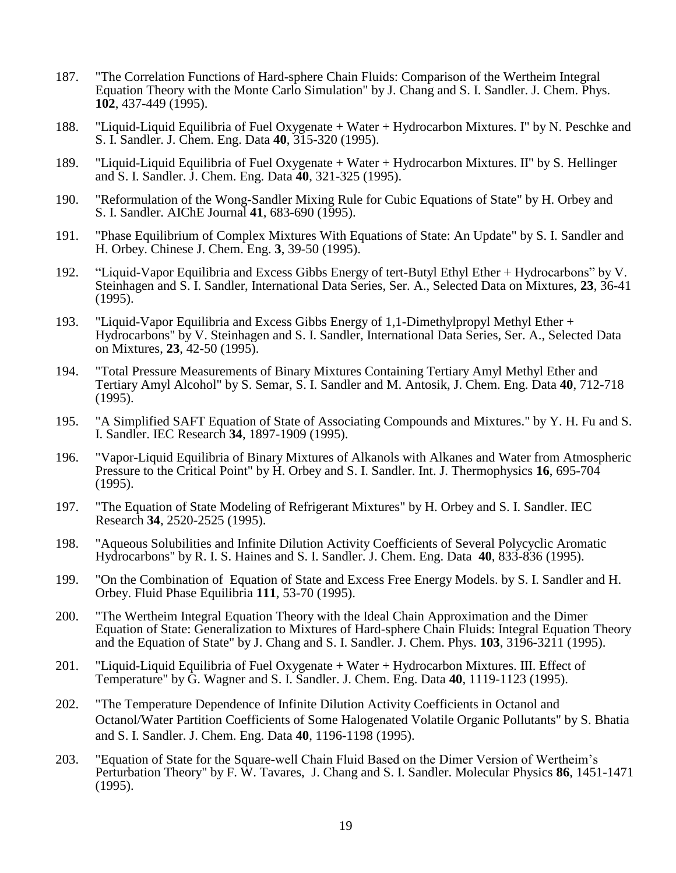- 187. "The Correlation Functions of Hard-sphere Chain Fluids: Comparison of the Wertheim Integral Equation Theory with the Monte Carlo Simulation" by J. Chang and S. I. Sandler. J. Chem. Phys. **102**, 437-449 (1995).
- 188. "Liquid-Liquid Equilibria of Fuel Oxygenate + Water + Hydrocarbon Mixtures. I" by N. Peschke and S. I. Sandler. J. Chem. Eng. Data **40**, 315-320 (1995).
- 189. "Liquid-Liquid Equilibria of Fuel Oxygenate + Water + Hydrocarbon Mixtures. II" by S. Hellinger and S. I. Sandler. J. Chem. Eng. Data **40**, 321-325 (1995).
- 190. "Reformulation of the Wong-Sandler Mixing Rule for Cubic Equations of State" by H. Orbey and S. I. Sandler. AIChE Journal **41**, 683-690 (1995).
- 191. "Phase Equilibrium of Complex Mixtures With Equations of State: An Update" by S. I. Sandler and H. Orbey. Chinese J. Chem. Eng. **3**, 39-50 (1995).
- 192. "Liquid-Vapor Equilibria and Excess Gibbs Energy of tert-Butyl Ethyl Ether + Hydrocarbons" by V. Steinhagen and S. I. Sandler, International Data Series, Ser. A., Selected Data on Mixtures, **23**, 36-41 (1995).
- 193. "Liquid-Vapor Equilibria and Excess Gibbs Energy of 1,1-Dimethylpropyl Methyl Ether + Hydrocarbons" by V. Steinhagen and S. I. Sandler, International Data Series, Ser. A., Selected Data on Mixtures, **23**, 42-50 (1995).
- 194. "Total Pressure Measurements of Binary Mixtures Containing Tertiary Amyl Methyl Ether and Tertiary Amyl Alcohol" by S. Semar, S. I. Sandler and M. Antosik, J. Chem. Eng. Data **40**, 712-718 (1995).
- 195. "A Simplified SAFT Equation of State of Associating Compounds and Mixtures." by Y. H. Fu and S. I. Sandler. IEC Research **34**, 1897-1909 (1995).
- 196. "Vapor-Liquid Equilibria of Binary Mixtures of Alkanols with Alkanes and Water from Atmospheric Pressure to the Critical Point" by H. Orbey and S. I. Sandler. Int. J. Thermophysics **16**, 695-704 (1995).
- 197. "The Equation of State Modeling of Refrigerant Mixtures" by H. Orbey and S. I. Sandler. IEC Research **34**, 2520-2525 (1995).
- 198. "Aqueous Solubilities and Infinite Dilution Activity Coefficients of Several Polycyclic Aromatic Hydrocarbons" by R. I. S. Haines and S. I. Sandler. J. Chem. Eng. Data **40**, 833-836 (1995).
- 199. "On the Combination of Equation of State and Excess Free Energy Models. by S. I. Sandler and H. Orbey. Fluid Phase Equilibria **111**, 53-70 (1995).
- 200. "The Wertheim Integral Equation Theory with the Ideal Chain Approximation and the Dimer Equation of State: Generalization to Mixtures of Hard-sphere Chain Fluids: Integral Equation Theory and the Equation of State" by J. Chang and S. I. Sandler. J. Chem. Phys. **103**, 3196-3211 (1995).
- 201. "Liquid-Liquid Equilibria of Fuel Oxygenate + Water + Hydrocarbon Mixtures. III. Effect of Temperature" by G. Wagner and S. I. Sandler. J. Chem. Eng. Data **40**, 1119-1123 (1995).
- 202. "The Temperature Dependence of Infinite Dilution Activity Coefficients in Octanol and Octanol/Water Partition Coefficients of Some Halogenated Volatile Organic Pollutants" by S. Bhatia and S. I. Sandler. J. Chem. Eng. Data **40**, 1196-1198 (1995).
- 203. "Equation of State for the Square-well Chain Fluid Based on the Dimer Version of Wertheim's Perturbation Theory" by F. W. Tavares, J. Chang and S. I. Sandler. Molecular Physics **86**, 1451-1471 (1995).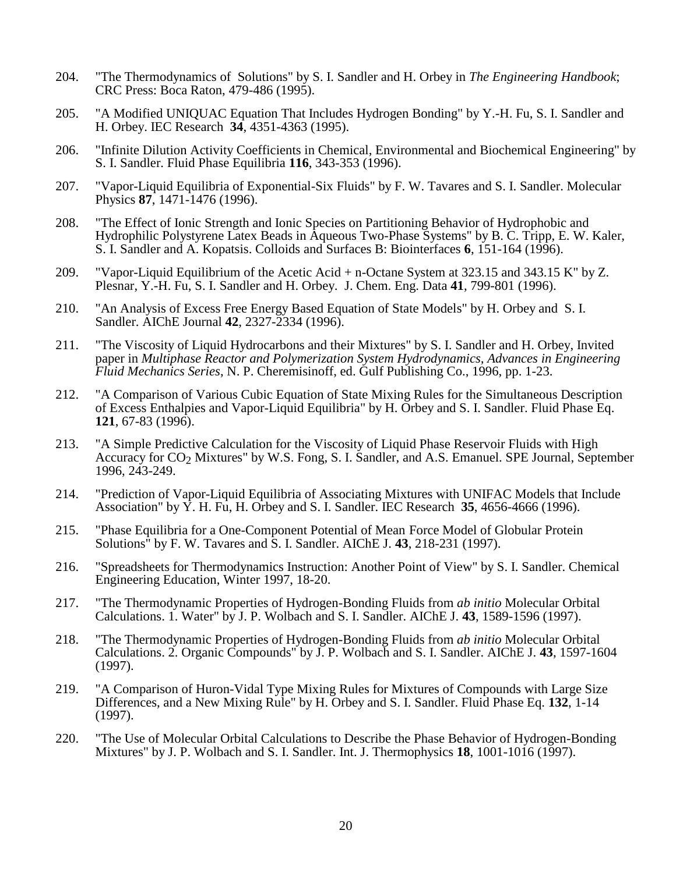- 204. "The Thermodynamics of Solutions" by S. I. Sandler and H. Orbey in *The Engineering Handbook*; CRC Press: Boca Raton, 479-486 (1995).
- 205. "A Modified UNIQUAC Equation That Includes Hydrogen Bonding" by Y.-H. Fu, S. I. Sandler and H. Orbey. IEC Research **34**, 4351-4363 (1995).
- 206. "Infinite Dilution Activity Coefficients in Chemical, Environmental and Biochemical Engineering" by S. I. Sandler. Fluid Phase Equilibria **116**, 343-353 (1996).
- 207. "Vapor-Liquid Equilibria of Exponential-Six Fluids" by F. W. Tavares and S. I. Sandler. Molecular Physics **87**, 1471-1476 (1996).
- 208. "The Effect of Ionic Strength and Ionic Species on Partitioning Behavior of Hydrophobic and Hydrophilic Polystyrene Latex Beads in Aqueous Two-Phase Systems" by B. C. Tripp, E. W. Kaler, S. I. Sandler and A. Kopatsis. Colloids and Surfaces B: Biointerfaces **6**, 151-164 (1996).
- 209. "Vapor-Liquid Equilibrium of the Acetic Acid + n-Octane System at 323.15 and 343.15 K" by Z. Plesnar, Y.-H. Fu, S. I. Sandler and H. Orbey. J. Chem. Eng. Data **41**, 799-801 (1996).
- 210. "An Analysis of Excess Free Energy Based Equation of State Models" by H. Orbey and S. I. Sandler. AIChE Journal **42**, 2327-2334 (1996).
- 211. "The Viscosity of Liquid Hydrocarbons and their Mixtures" by S. I. Sandler and H. Orbey, Invited paper in *Multiphase Reactor and Polymerization System Hydrodynamics, Advances in Engineering Fluid Mechanics Series*, N. P. Cheremisinoff, ed. Gulf Publishing Co., 1996, pp. 1-23.
- 212. "A Comparison of Various Cubic Equation of State Mixing Rules for the Simultaneous Description of Excess Enthalpies and Vapor-Liquid Equilibria" by H. Orbey and S. I. Sandler. Fluid Phase Eq. **121**, 67-83 (1996).
- 213. "A Simple Predictive Calculation for the Viscosity of Liquid Phase Reservoir Fluids with High Accuracy for CO<sub>2</sub> Mixtures" by W.S. Fong, S. I. Sandler, and A.S. Emanuel. SPE Journal, September 1996, 243-249.
- 214. "Prediction of Vapor-Liquid Equilibria of Associating Mixtures with UNIFAC Models that Include Association" by Y. H. Fu, H. Orbey and S. I. Sandler. IEC Research **35**, 4656-4666 (1996).
- 215. "Phase Equilibria for a One-Component Potential of Mean Force Model of Globular Protein Solutions" by F. W. Tavares and S. I. Sandler. AIChE J. **43**, 218-231 (1997).
- 216. "Spreadsheets for Thermodynamics Instruction: Another Point of View" by S. I. Sandler. Chemical Engineering Education, Winter 1997, 18-20.
- 217. "The Thermodynamic Properties of Hydrogen-Bonding Fluids from *ab initio* Molecular Orbital Calculations. 1. Water" by J. P. Wolbach and S. I. Sandler. AIChE J. **43**, 1589-1596 (1997).
- 218. "The Thermodynamic Properties of Hydrogen-Bonding Fluids from *ab initio* Molecular Orbital Calculations. 2. Organic Compounds" by J. P. Wolbach and S. I. Sandler. AIChE J. **43**, 1597-1604 (1997).
- 219. "A Comparison of Huron-Vidal Type Mixing Rules for Mixtures of Compounds with Large Size Differences, and a New Mixing Rule" by H. Orbey and S. I. Sandler. Fluid Phase Eq. **132**, 1-14 (1997).
- 220. "The Use of Molecular Orbital Calculations to Describe the Phase Behavior of Hydrogen-Bonding Mixtures" by J. P. Wolbach and S. I. Sandler. Int. J. Thermophysics **18**, 1001-1016 (1997).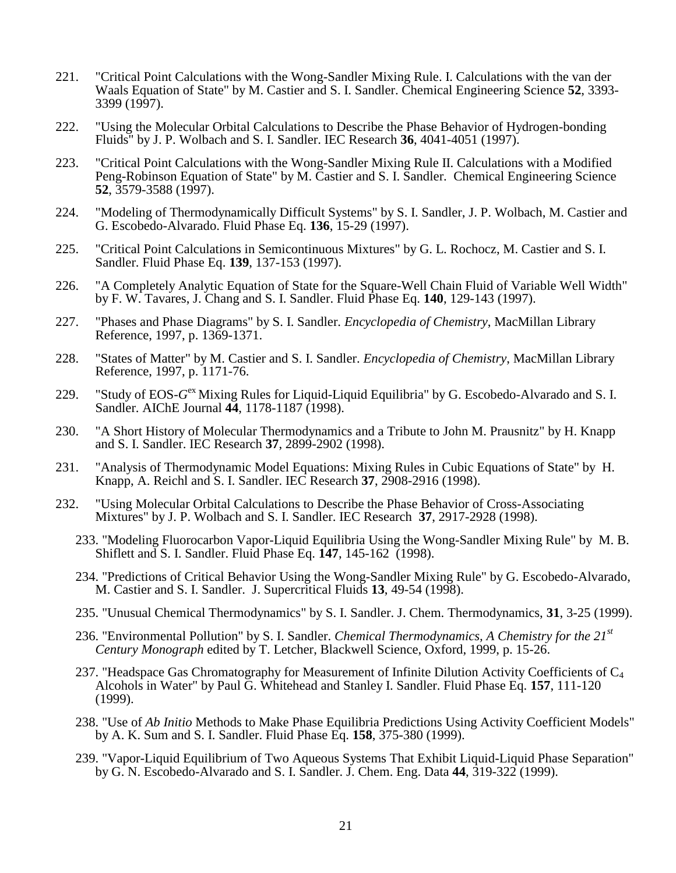- 221. "Critical Point Calculations with the Wong-Sandler Mixing Rule. I. Calculations with the van der Waals Equation of State" by M. Castier and S. I. Sandler. Chemical Engineering Science **52**, 3393- 3399 (1997).
- 222. "Using the Molecular Orbital Calculations to Describe the Phase Behavior of Hydrogen-bonding Fluids" by J. P. Wolbach and S. I. Sandler. IEC Research **36**, 4041-4051 (1997).
- 223. "Critical Point Calculations with the Wong-Sandler Mixing Rule II. Calculations with a Modified Peng-Robinson Equation of State" by M. Castier and S. I. Sandler. Chemical Engineering Science **52**, 3579-3588 (1997).
- 224. "Modeling of Thermodynamically Difficult Systems" by S. I. Sandler, J. P. Wolbach, M. Castier and G. Escobedo-Alvarado. Fluid Phase Eq. **136**, 15-29 (1997).
- 225. "Critical Point Calculations in Semicontinuous Mixtures" by G. L. Rochocz, M. Castier and S. I. Sandler. Fluid Phase Eq. **139**, 137-153 (1997).
- 226. "A Completely Analytic Equation of State for the Square-Well Chain Fluid of Variable Well Width" by F. W. Tavares, J. Chang and S. I. Sandler. Fluid Phase Eq. **140**, 129-143 (1997).
- 227. "Phases and Phase Diagrams" by S. I. Sandler. *Encyclopedia of Chemistry*, MacMillan Library Reference, 1997, p. 1369-1371.
- 228. "States of Matter" by M. Castier and S. I. Sandler. *Encyclopedia of Chemistry*, MacMillan Library Reference, 1997, p. 1171-76.
- 229. "Study of EOS-G<sup>ex</sup> Mixing Rules for Liquid-Liquid Equilibria" by G. Escobedo-Alvarado and S. I. Sandler. AIChE Journal **44**, 1178-1187 (1998).
- 230. "A Short History of Molecular Thermodynamics and a Tribute to John M. Prausnitz" by H. Knapp and S. I. Sandler. IEC Research **37**, 2899-2902 (1998).
- 231. "Analysis of Thermodynamic Model Equations: Mixing Rules in Cubic Equations of State" by H. Knapp, A. Reichl and S. I. Sandler. IEC Research **37**, 2908-2916 (1998).
- 232. "Using Molecular Orbital Calculations to Describe the Phase Behavior of Cross-Associating Mixtures" by J. P. Wolbach and S. I. Sandler. IEC Research **37**, 2917-2928 (1998).
	- 233. "Modeling Fluorocarbon Vapor-Liquid Equilibria Using the Wong-Sandler Mixing Rule" by M. B. Shiflett and S. I. Sandler. Fluid Phase Eq. **147**, 145-162 (1998).
	- 234. "Predictions of Critical Behavior Using the Wong-Sandler Mixing Rule" by G. Escobedo-Alvarado, M. Castier and S. I. Sandler. J. Supercritical Fluids **13**, 49-54 (1998).
	- 235. "Unusual Chemical Thermodynamics" by S. I. Sandler. J. Chem. Thermodynamics, **31**, 3-25 (1999).
	- 236. "Environmental Pollution" by S. I. Sandler. *Chemical Thermodynamics, A Chemistry for the 21st Century Monograph* edited by T. Letcher, Blackwell Science, Oxford, 1999, p. 15-26.
	- 237. "Headspace Gas Chromatography for Measurement of Infinite Dilution Activity Coefficients of  $C_4$ Alcohols in Water" by Paul G. Whitehead and Stanley I. Sandler. Fluid Phase Eq. **157**, 111-120 (1999).
	- 238. "Use of *Ab Initio* Methods to Make Phase Equilibria Predictions Using Activity Coefficient Models" by A. K. Sum and S. I. Sandler. Fluid Phase Eq. **158**, 375-380 (1999).
	- 239. "Vapor-Liquid Equilibrium of Two Aqueous Systems That Exhibit Liquid-Liquid Phase Separation" by G. N. Escobedo-Alvarado and S. I. Sandler. J. Chem. Eng. Data **44**, 319-322 (1999).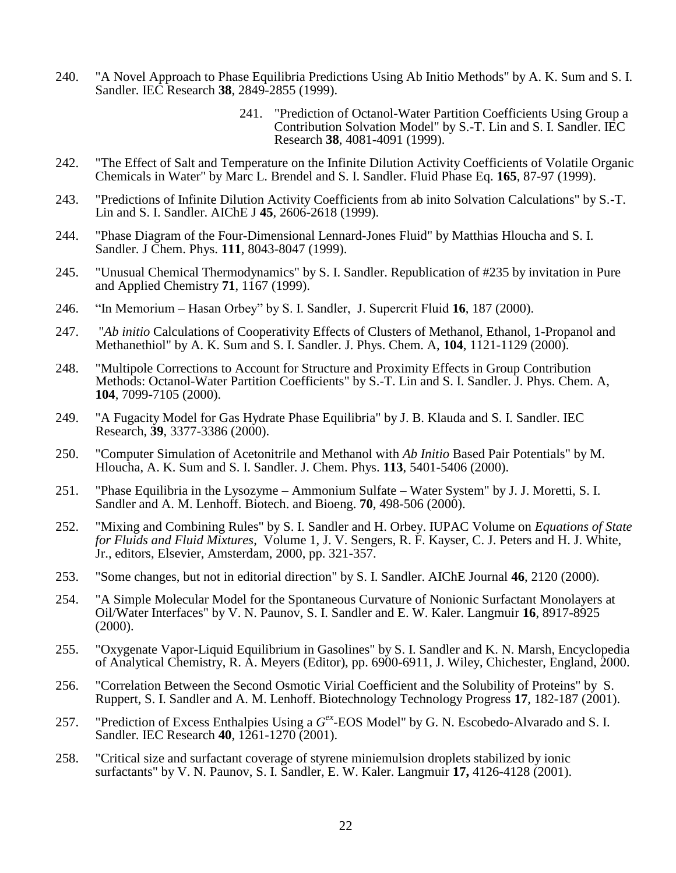- 240. "A Novel Approach to Phase Equilibria Predictions Using Ab Initio Methods" by A. K. Sum and S. I. Sandler. IEC Research **38**, 2849-2855 (1999).
	- 241. "Prediction of Octanol-Water Partition Coefficients Using Group a Contribution Solvation Model" by S.-T. Lin and S. I. Sandler. IEC Research **38**, 4081-4091 (1999).
- 242. "The Effect of Salt and Temperature on the Infinite Dilution Activity Coefficients of Volatile Organic Chemicals in Water" by Marc L. Brendel and S. I. Sandler. Fluid Phase Eq. **165**, 87-97 (1999).
- 243. "Predictions of Infinite Dilution Activity Coefficients from ab inito Solvation Calculations" by S.-T. Lin and S. I. Sandler. AIChE J **45**, 2606-2618 (1999).
- 244. "Phase Diagram of the Four-Dimensional Lennard-Jones Fluid" by Matthias Hloucha and S. I. Sandler. J Chem. Phys. **111**, 8043-8047 (1999).
- 245. "Unusual Chemical Thermodynamics" by S. I. Sandler. Republication of #235 by invitation in Pure and Applied Chemistry **71**, 1167 (1999).
- 246. "In Memorium Hasan Orbey" by S. I. Sandler, J. Supercrit Fluid **16**, 187 (2000).
- 247. "*Ab initio* Calculations of Cooperativity Effects of Clusters of Methanol, Ethanol, 1-Propanol and Methanethiol" by A. K. Sum and S. I. Sandler. J. Phys. Chem. A, **104**, 1121-1129 (2000).
- 248. "Multipole Corrections to Account for Structure and Proximity Effects in Group Contribution Methods: Octanol-Water Partition Coefficients" by S.-T. Lin and S. I. Sandler. J. Phys. Chem. A, **104**, 7099-7105 (2000).
- 249. "A Fugacity Model for Gas Hydrate Phase Equilibria" by J. B. Klauda and S. I. Sandler. IEC Research, **39**, 3377-3386 (2000).
- 250. "Computer Simulation of Acetonitrile and Methanol with *Ab Initio* Based Pair Potentials" by M. Hloucha, A. K. Sum and S. I. Sandler. J. Chem. Phys. **113**, 5401-5406 (2000).
- 251. "Phase Equilibria in the Lysozyme Ammonium Sulfate Water System" by J. J. Moretti, S. I. Sandler and A. M. Lenhoff. Biotech. and Bioeng. **70**, 498-506 (2000).
- 252. "Mixing and Combining Rules" by S. I. Sandler and H. Orbey. IUPAC Volume on *Equations of State for Fluids and Fluid Mixtures*, Volume 1, J. V. Sengers, R. F. Kayser, C. J. Peters and H. J. White, Jr., editors, Elsevier, Amsterdam, 2000, pp. 321-357.
- 253. "Some changes, but not in editorial direction" by S. I. Sandler. AIChE Journal **46**, 2120 (2000).
- 254. "A Simple Molecular Model for the Spontaneous Curvature of Nonionic Surfactant Monolayers at Oil/Water Interfaces" by V. N. Paunov, S. I. Sandler and E. W. Kaler. Langmuir **16**, 8917-8925 (2000).
- 255. "Oxygenate Vapor-Liquid Equilibrium in Gasolines" by S. I. Sandler and K. N. Marsh, Encyclopedia of Analytical Chemistry, R. A. Meyers (Editor), pp. 6900-6911, J. Wiley, Chichester, England, 2000.
- 256. "Correlation Between the Second Osmotic Virial Coefficient and the Solubility of Proteins" by S. Ruppert, S. I. Sandler and A. M. Lenhoff. Biotechnology Technology Progress **17**, 182-187 (2001).
- 257. "Prediction of Excess Enthalpies Using a  $G^{ex}$ -EOS Model" by G. N. Escobedo-Alvarado and S. I. Sandler. IEC Research **40**, 1261-1270 (2001).
- 258. "Critical size and surfactant coverage of styrene miniemulsion droplets stabilized by ionic surfactants" by V. N. Paunov, S. I. Sandler, E. W. Kaler. Langmuir **17,** 4126-4128 (2001).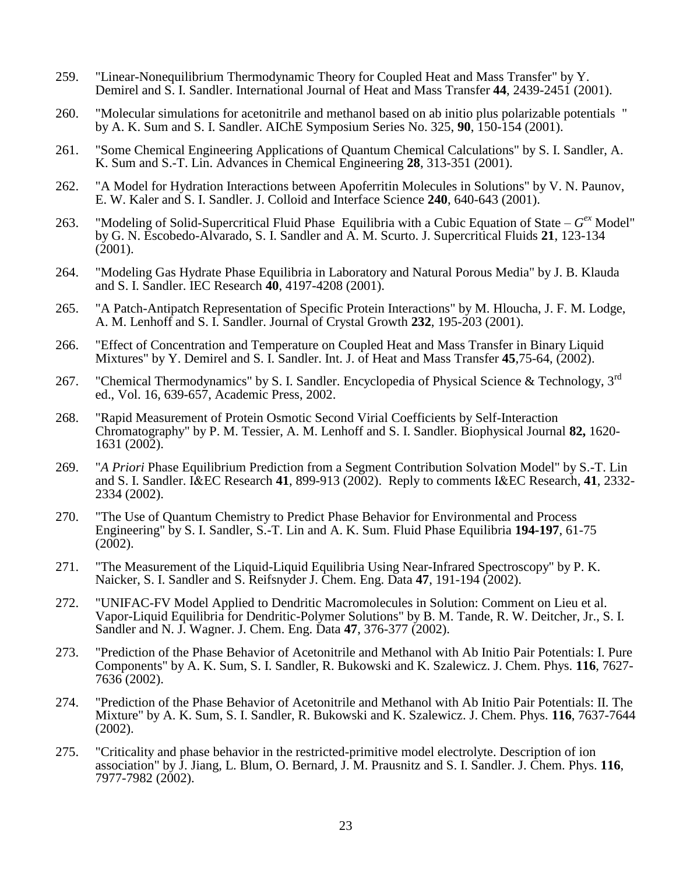- 259. "Linear-Nonequilibrium Thermodynamic Theory for Coupled Heat and Mass Transfer" by Y. Demirel and S. I. Sandler. International Journal of Heat and Mass Transfer **44**, 2439-2451 (2001).
- 260. "Molecular simulations for acetonitrile and methanol based on ab initio plus polarizable potentials " by A. K. Sum and S. I. Sandler. AIChE Symposium Series No. 325, **90**, 150-154 (2001).
- 261. "Some Chemical Engineering Applications of Quantum Chemical Calculations" by S. I. Sandler, A. K. Sum and S.-T. Lin. Advances in Chemical Engineering **28**, 313-351 (2001).
- 262. "A Model for Hydration Interactions between Apoferritin Molecules in Solutions" by V. N. Paunov, E. W. Kaler and S. I. Sandler. J. Colloid and Interface Science **240**, 640-643 (2001).
- 263. "Modeling of Solid-Supercritical Fluid Phase Equilibria with a Cubic Equation of State  $G<sup>ex</sup>$  Model" by G. N. Escobedo-Alvarado, S. I. Sandler and A. M. Scurto. J. Supercritical Fluids **21**, 123-134 (2001).
- 264. "Modeling Gas Hydrate Phase Equilibria in Laboratory and Natural Porous Media" by J. B. Klauda and S. I. Sandler. IEC Research **40**, 4197-4208 (2001).
- 265. "A Patch-Antipatch Representation of Specific Protein Interactions" by M. Hloucha, J. F. M. Lodge, A. M. Lenhoff and S. I. Sandler. Journal of Crystal Growth **232**, 195-203 (2001).
- 266. "Effect of Concentration and Temperature on Coupled Heat and Mass Transfer in Binary Liquid Mixtures" by Y. Demirel and S. I. Sandler. Int. J. of Heat and Mass Transfer **45**,75-64, (2002).
- 267. "Chemical Thermodynamics" by S. I. Sandler. Encyclopedia of Physical Science & Technology, 3<sup>rd</sup> ed., Vol. 16, 639-657, Academic Press, 2002.
- 268. "Rapid Measurement of Protein Osmotic Second Virial Coefficients by Self-Interaction Chromatography" by P. M. Tessier, A. M. Lenhoff and S. I. Sandler. Biophysical Journal **82,** 1620- 1631 (2002).
- 269. "*A Priori* Phase Equilibrium Prediction from a Segment Contribution Solvation Model" by S.-T. Lin and S. I. Sandler. I&EC Research 41, 899-913 (2002). Reply to comments I&EC Research, 41, 2332-2334 (2002).
- 270. "The Use of Quantum Chemistry to Predict Phase Behavior for Environmental and Process Engineering" by S. I. Sandler, S.-T. Lin and A. K. Sum. Fluid Phase Equilibria **194-197**, 61-75 (2002).
- 271. "The Measurement of the Liquid-Liquid Equilibria Using Near-Infrared Spectroscopy" by P. K. Naicker, S. I. Sandler and S. Reifsnyder J. Chem. Eng. Data **47**, 191-194 (2002).
- 272. "UNIFAC-FV Model Applied to Dendritic Macromolecules in Solution: Comment on Lieu et al. Vapor-Liquid Equilibria for Dendritic-Polymer Solutions" by B. M. Tande, R. W. Deitcher, Jr., S. I. Sandler and N. J. Wagner. J. Chem. Eng. Data **47**, 376-377 (2002).
- 273. "Prediction of the Phase Behavior of Acetonitrile and Methanol with Ab Initio Pair Potentials: I. Pure Components" by A. K. Sum, S. I. Sandler, R. Bukowski and K. Szalewicz. J. Chem. Phys. **116**, 7627- 7636 (2002).
- 274. "Prediction of the Phase Behavior of Acetonitrile and Methanol with Ab Initio Pair Potentials: II. The Mixture" by A. K. Sum, S. I. Sandler, R. Bukowski and K. Szalewicz. J. Chem. Phys. **116**, 7637-7644 (2002).
- 275. "Criticality and phase behavior in the restricted-primitive model electrolyte. Description of ion association" by J. Jiang, L. Blum, O. Bernard, J. M. Prausnitz and S. I. Sandler. J. Chem. Phys. **116**, 7977-7982 (2002).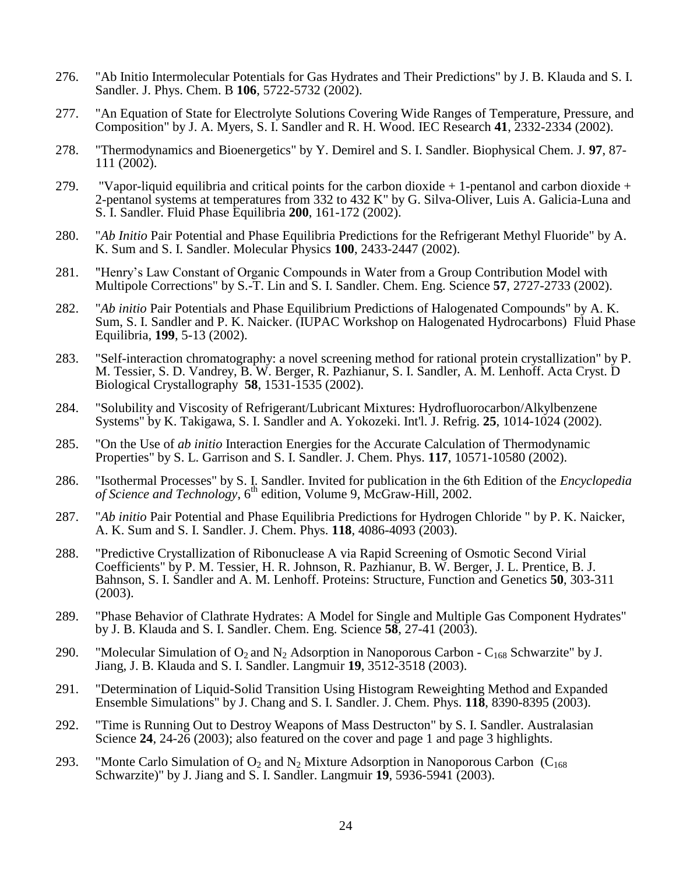- 276. "Ab Initio Intermolecular Potentials for Gas Hydrates and Their Predictions" by J. B. Klauda and S. I. Sandler. J. Phys. Chem. B **106**, 5722-5732 (2002).
- 277. "An Equation of State for Electrolyte Solutions Covering Wide Ranges of Temperature, Pressure, and Composition" by J. A. Myers, S. I. Sandler and R. H. Wood. IEC Research **41**, 2332-2334 (2002).
- 278. "Thermodynamics and Bioenergetics" by Y. Demirel and S. I. Sandler. Biophysical Chem. J. **97**, 87- 111 (2002).
- 279. "Vapor-liquid equilibria and critical points for the carbon dioxide  $+1$ -pentanol and carbon dioxide  $+$ 2-pentanol systems at temperatures from 332 to 432 K" by G. Silva-Oliver, Luis A. Galicia-Luna and S. I. Sandler. Fluid Phase Equilibria **200**, 161-172 (2002).
- 280. "*Ab Initio* Pair Potential and Phase Equilibria Predictions for the Refrigerant Methyl Fluoride" by A. K. Sum and S. I. Sandler. Molecular Physics **100**, 2433-2447 (2002).
- 281. "Henry's Law Constant of Organic Compounds in Water from a Group Contribution Model with Multipole Corrections" by S.-T. Lin and S. I. Sandler. Chem. Eng. Science **57**, 2727-2733 (2002).
- 282. "*Ab initio* Pair Potentials and Phase Equilibrium Predictions of Halogenated Compounds" by A. K. Sum, S. I. Sandler and P. K. Naicker. (IUPAC Workshop on Halogenated Hydrocarbons) Fluid Phase Equilibria, **199**, 5-13 (2002).
- 283. "Self-interaction chromatography: a novel screening method for rational protein crystallization" by P. M. Tessier, S. D. Vandrey, B. W. Berger, R. Pazhianur, S. I. Sandler, A. M. Lenhoff. Acta Cryst. D Biological Crystallography **58**, 1531-1535 (2002).
- 284. "Solubility and Viscosity of Refrigerant/Lubricant Mixtures: Hydrofluorocarbon/Alkylbenzene Systems" by K. Takigawa, S. I. Sandler and A. Yokozeki. Int'l. J. Refrig. **25**, 1014-1024 (2002).
- 285. "On the Use of *ab initio* Interaction Energies for the Accurate Calculation of Thermodynamic Properties" by S. L. Garrison and S. I. Sandler. J. Chem. Phys. **117**, 10571-10580 (2002).
- 286. "Isothermal Processes" by S. I. Sandler. Invited for publication in the 6th Edition of the *Encyclopedia*  of Science and Technology, 6<sup>th</sup> edition, Volume 9, McGraw-Hill, 2002.
- 287. "*Ab initio* Pair Potential and Phase Equilibria Predictions for Hydrogen Chloride " by P. K. Naicker, A. K. Sum and S. I. Sandler. J. Chem. Phys. **118**, 4086-4093 (2003).
- 288. "Predictive Crystallization of Ribonuclease A via Rapid Screening of Osmotic Second Virial Coefficients" by P. M. Tessier, H. R. Johnson, R. Pazhianur, B. W. Berger, J. L. Prentice, B. J. Bahnson, S. I. Sandler and A. M. Lenhoff. Proteins: Structure, Function and Genetics **50**, 303-311 (2003).
- 289. "Phase Behavior of Clathrate Hydrates: A Model for Single and Multiple Gas Component Hydrates" by J. B. Klauda and S. I. Sandler. Chem. Eng. Science **58**, 27-41 (2003).
- 290. "Molecular Simulation of  $O_2$  and  $N_2$  Adsorption in Nanoporous Carbon  $C_{168}$  Schwarzite" by J. Jiang, J. B. Klauda and S. I. Sandler. Langmuir **19**, 3512-3518 (2003).
- 291. "Determination of Liquid-Solid Transition Using Histogram Reweighting Method and Expanded Ensemble Simulations" by J. Chang and S. I. Sandler. J. Chem. Phys. **118**, 8390-8395 (2003).
- 292. "Time is Running Out to Destroy Weapons of Mass Destructon" by S. I. Sandler. Australasian Science **24**, 24-26 (2003); also featured on the cover and page 1 and page 3 highlights.
- 293. "Monte Carlo Simulation of  $O_2$  and  $N_2$  Mixture Adsorption in Nanoporous Carbon (C<sub>168</sub>) Schwarzite)" by J. Jiang and S. I. Sandler. Langmuir **19**, 5936-5941 (2003).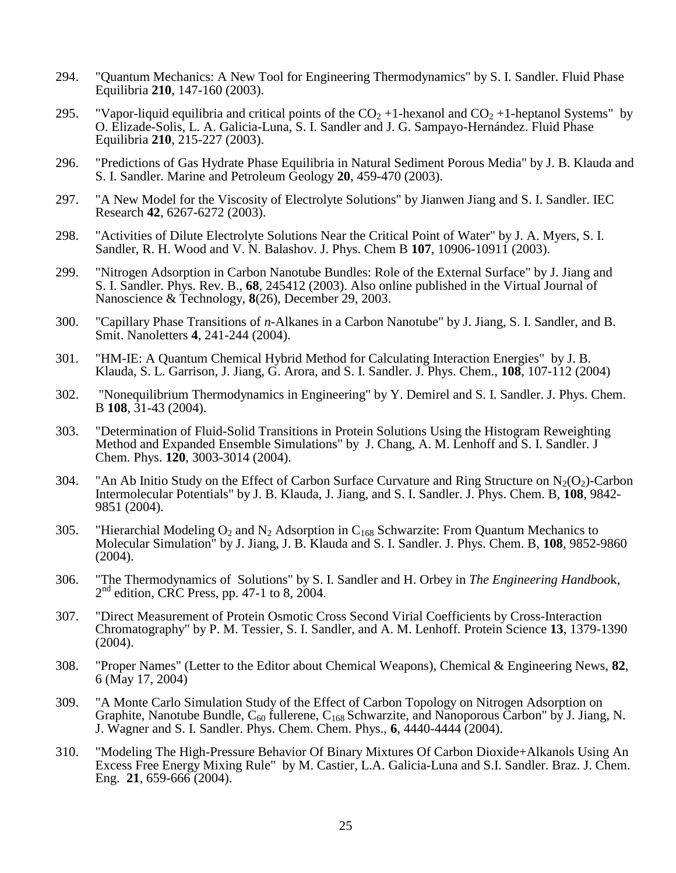- 294. "Quantum Mechanics: A New Tool for Engineering Thermodynamics" by S. I. Sandler. Fluid Phase Equilibria **210**, 147-160 (2003).
- 295. "Vapor-liquid equilibria and critical points of the  $CO_2 +1$ -hexanol and  $CO_2 +1$ -heptanol Systems" by O. Elizade-Solis, L. A. Galicia-Luna, S. I. Sandler and J. G. Sampayo-Hernández. Fluid Phase Equilibria **210**, 215-227 (2003).
- 296. "Predictions of Gas Hydrate Phase Equilibria in Natural Sediment Porous Media" by J. B. Klauda and S. I. Sandler. Marine and Petroleum Geology **20**, 459-470 (2003).
- 297. "A New Model for the Viscosity of Electrolyte Solutions" by Jianwen Jiang and S. I. Sandler. IEC Research **42**, 6267-6272 (2003).
- 298. "Activities of Dilute Electrolyte Solutions Near the Critical Point of Water" by J. A. Myers, S. I. Sandler, R. H. Wood and V. N. Balashov. J. Phys. Chem B **107**, 10906-10911 (2003).
- 299. "Nitrogen Adsorption in Carbon Nanotube Bundles: Role of the External Surface" by J. Jiang and S. I. Sandler. Phys. Rev. B., **68**, 245412 (2003). Also online published in the Virtual Journal of Nanoscience & Technology, **8**(26), December 29, 2003.
- 300. "Capillary Phase Transitions of *n*-Alkanes in a Carbon Nanotube" by J. Jiang, S. I. Sandler, and B. Smit. Nanoletters **4**, 241-244 (2004).
- 301. "HM-IE: A Quantum Chemical Hybrid Method for Calculating Interaction Energies" by J. B. Klauda, S. L. Garrison, J. Jiang, G. Arora, and S. I. Sandler. J. Phys. Chem., **108**, 107-112 (2004)
- 302. "Nonequilibrium Thermodynamics in Engineering" by Y. Demirel and S. I. Sandler. J. Phys. Chem. B **108**, 31-43 (2004).
- 303. "Determination of Fluid-Solid Transitions in Protein Solutions Using the Histogram Reweighting Method and Expanded Ensemble Simulations" by J. Chang, A. M. Lenhoff and S. I. Sandler. J Chem. Phys. **120**, 3003-3014 (2004).
- 304. "An Ab Initio Study on the Effect of Carbon Surface Curvature and Ring Structure on  $N_2(O_2)$ -Carbon Intermolecular Potentials" by J. B. Klauda, J. Jiang, and S. I. Sandler. J. Phys. Chem. B, **108**, 9842- 9851 (2004).
- 305. "Hierarchial Modeling  $O_2$  and  $N_2$  Adsorption in  $C_{168}$  Schwarzite: From Quantum Mechanics to Molecular Simulation" by J. Jiang, J. B. Klauda and S. I. Sandler. J. Phys. Chem. B, **108**, 9852-9860 (2004).
- 306. "The Thermodynamics of Solutions" by S. I. Sandler and H. Orbey in *The Engineering Handboo*k, 2<sup>nd</sup> edition, CRC Press, pp. 47-1 to 8, 2004.
- 307. "Direct Measurement of Protein Osmotic Cross Second Virial Coefficients by Cross-Interaction Chromatography" by P. M. Tessier, S. I. Sandler, and A. M. Lenhoff. Protein Science **13**, 1379-1390 (2004).
- 308. "Proper Names" (Letter to the Editor about Chemical Weapons), Chemical & Engineering News, **82**, 6 (May 17, 2004)
- 309. "A Monte Carlo Simulation Study of the Effect of Carbon Topology on Nitrogen Adsorption on Graphite, Nanotube Bundle,  $C_{60}$  fullerene,  $C_{168}$  Schwarzite, and Nanoporous Carbon" by J. Jiang, N. J. Wagner and S. I. Sandler. Phys. Chem. Chem. Phys., **6**, 4440-4444 (2004).
- 310. "Modeling The High-Pressure Behavior Of Binary Mixtures Of Carbon Dioxide+Alkanols Using An Excess Free Energy Mixing Rule" by M. Castier, L.A. Galicia-Luna and S.I. Sandler. Braz. J. Chem. Eng. **21**, 659-666 (2004).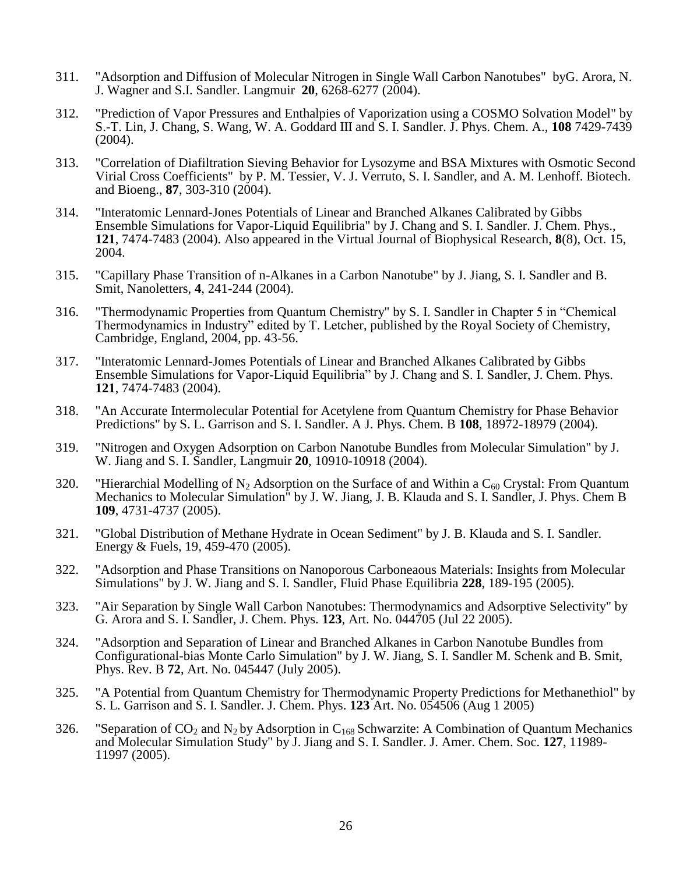- 311. "Adsorption and Diffusion of Molecular Nitrogen in Single Wall Carbon Nanotubes" byG. Arora, N. J. Wagner and S.I. Sandler. Langmuir **20**, 6268-6277 (2004).
- 312. "Prediction of Vapor Pressures and Enthalpies of Vaporization using a COSMO Solvation Model" by S.-T. Lin, J. Chang, S. Wang, W. A. Goddard III and S. I. Sandler. J. Phys. Chem. A., **108** 7429-7439 (2004).
- 313. "Correlation of Diafiltration Sieving Behavior for Lysozyme and BSA Mixtures with Osmotic Second Virial Cross Coefficients" by P. M. Tessier, V. J. Verruto, S. I. Sandler, and A. M. Lenhoff. Biotech. and Bioeng., **87**, 303-310 (2004).
- 314. "Interatomic Lennard-Jones Potentials of Linear and Branched Alkanes Calibrated by Gibbs Ensemble Simulations for Vapor-Liquid Equilibria" by J. Chang and S. I. Sandler. J. Chem. Phys., **121**, 7474-7483 (2004). Also appeared in the Virtual Journal of Biophysical Research, **8**(8), Oct. 15, 2004.
- 315. "Capillary Phase Transition of n-Alkanes in a Carbon Nanotube" by J. Jiang, S. I. Sandler and B. Smit, Nanoletters, **4**, 241-244 (2004).
- 316. "Thermodynamic Properties from Quantum Chemistry" by S. I. Sandler in Chapter 5 in "Chemical Thermodynamics in Industry" edited by T. Letcher, published by the Royal Society of Chemistry, Cambridge, England, 2004, pp. 43-56.
- 317. "Interatomic Lennard-Jomes Potentials of Linear and Branched Alkanes Calibrated by Gibbs Ensemble Simulations for Vapor-Liquid Equilibria" by J. Chang and S. I. Sandler, J. Chem. Phys. **121**, 7474-7483 (2004).
- 318. "An Accurate Intermolecular Potential for Acetylene from Quantum Chemistry for Phase Behavior Predictions" by S. L. Garrison and S. I. Sandler. A J. Phys. Chem. B **108**, 18972-18979 (2004).
- 319. "Nitrogen and Oxygen Adsorption on Carbon Nanotube Bundles from Molecular Simulation" by J. W. Jiang and S. I. Sandler, Langmuir **20**, 10910-10918 (2004).
- 320. "Hierarchial Modelling of N<sub>2</sub> Adsorption on the Surface of and Within a C<sub>60</sub> Crystal: From Quantum Mechanics to Molecular Simulation" by J. W. Jiang, J. B. Klauda and S. I. Sandler, J. Phys. Chem B **109**, 4731-4737 (2005).
- 321. "Global Distribution of Methane Hydrate in Ocean Sediment" by J. B. Klauda and S. I. Sandler. Energy & Fuels, 19, 459-470 (2005).
- 322. "Adsorption and Phase Transitions on Nanoporous Carboneaous Materials: Insights from Molecular Simulations" by J. W. Jiang and S. I. Sandler, Fluid Phase Equilibria **228**, 189-195 (2005).
- 323. "Air Separation by Single Wall Carbon Nanotubes: Thermodynamics and Adsorptive Selectivity" by G. Arora and S. I. Sandler, J. Chem. Phys. **123**, Art. No. 044705 (Jul 22 2005).
- 324. "Adsorption and Separation of Linear and Branched Alkanes in Carbon Nanotube Bundles from Configurational-bias Monte Carlo Simulation" by J. W. Jiang, S. I. Sandler M. Schenk and B. Smit, Phys. Rev. B **72**, Art. No. 045447 (July 2005).
- 325. "A Potential from Quantum Chemistry for Thermodynamic Property Predictions for Methanethiol" by S. L. Garrison and S. I. Sandler. J. Chem. Phys. **123** Art. No. 054506 (Aug 1 2005)
- 326. "Separation of  $CO_2$  and N<sub>2</sub> by Adsorption in C<sub>168</sub> Schwarzite: A Combination of Quantum Mechanics and Molecular Simulation Study" by J. Jiang and S. I. Sandler. J. Amer. Chem. Soc. **127**, 11989- 11997 (2005).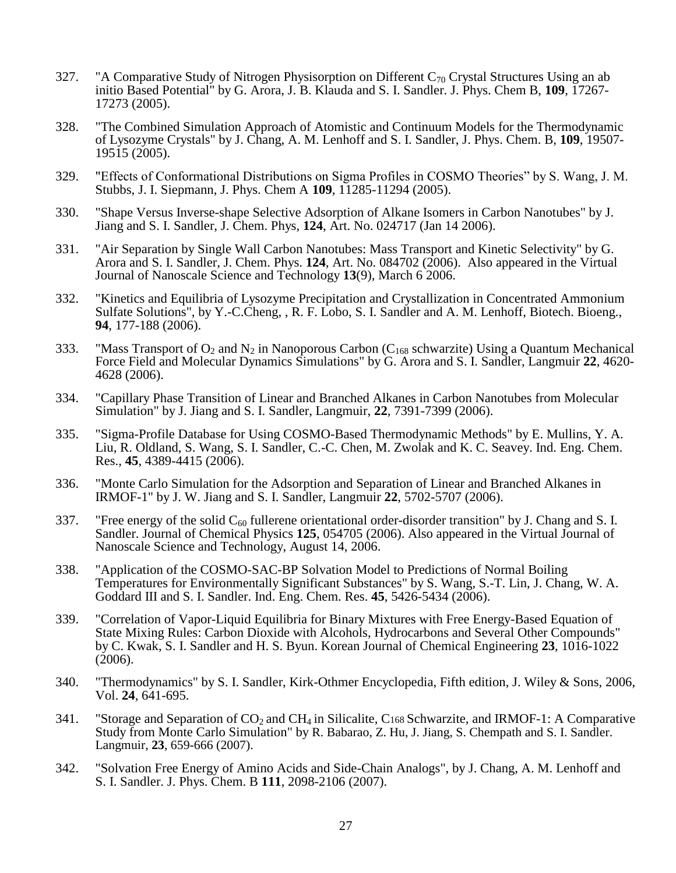- 327. "A Comparative Study of Nitrogen Physisorption on Different  $C_{70}$  Crystal Structures Using an ab initio Based Potential" by G. Arora, J. B. Klauda and S. I. Sandler. J. Phys. Chem B, **109**, 17267- 17273 (2005).
- 328. "The Combined Simulation Approach of Atomistic and Continuum Models for the Thermodynamic of Lysozyme Crystals" by J. Chang, A. M. Lenhoff and S. I. Sandler, J. Phys. Chem. B, **109**, 19507- 19515 (2005).
- 329. "Effects of Conformational Distributions on Sigma Profiles in COSMO Theories" by S. Wang, J. M. Stubbs, J. I. Siepmann, J. Phys. Chem A **109**, 11285-11294 (2005).
- 330. "Shape Versus Inverse-shape Selective Adsorption of Alkane Isomers in Carbon Nanotubes" by J. Jiang and S. I. Sandler, J. Chem. Phys, **124**, Art. No. 024717 (Jan 14 2006).
- 331. "Air Separation by Single Wall Carbon Nanotubes: Mass Transport and Kinetic Selectivity" by G. Arora and S. I. Sandler, J. Chem. Phys. **124**, Art. No. 084702 (2006). Also appeared in the Virtual Journal of Nanoscale Science and Technology **13**(9), March 6 2006.
- 332. "Kinetics and Equilibria of Lysozyme Precipitation and Crystallization in Concentrated Ammonium Sulfate Solutions", by Y.-C.Cheng, , R. F. Lobo, S. I. Sandler and A. M. Lenhoff, Biotech. Bioeng., **94**, 177-188 (2006).
- 333. "Mass Transport of  $O_2$  and  $N_2$  in Nanoporous Carbon ( $C_{168}$  schwarzite) Using a Quantum Mechanical Force Field and Molecular Dynamics Simulations" by G. Arora and S. I. Sandler, Langmuir **22**, 4620- 4628 (2006).
- 334. "Capillary Phase Transition of Linear and Branched Alkanes in Carbon Nanotubes from Molecular Simulation" by J. Jiang and S. I. Sandler, Langmuir, **22**, 7391-7399 (2006).
- 335. "Sigma-Profile Database for Using COSMO-Based Thermodynamic Methods" by E. Mullins, Y. A. Liu, R. Oldland, S. Wang, S. I. Sandler, C.-C. Chen, M. Zwolak and K. C. Seavey. Ind. Eng. Chem. Res., **45**, 4389-4415 (2006).
- 336. "Monte Carlo Simulation for the Adsorption and Separation of Linear and Branched Alkanes in IRMOF-1" by J. W. Jiang and S. I. Sandler, Langmuir **22**, 5702-5707 (2006).
- 337. "Free energy of the solid  $C_{60}$  fullerene orientational order-disorder transition" by J. Chang and S. I. Sandler. Journal of Chemical Physics **125**, 054705 (2006). Also appeared in the Virtual Journal of Nanoscale Science and Technology, August 14, 2006.
- 338. "Application of the COSMO-SAC-BP Solvation Model to Predictions of Normal Boiling Temperatures for Environmentally Significant Substances" by S. Wang, S.-T. Lin, J. Chang, W. A. Goddard III and S. I. Sandler. Ind. Eng. Chem. Res. **45**, 5426-5434 (2006).
- 339. "Correlation of Vapor-Liquid Equilibria for Binary Mixtures with Free Energy-Based Equation of State Mixing Rules: Carbon Dioxide with Alcohols, Hydrocarbons and Several Other Compounds" by C. Kwak, S. I. Sandler and H. S. Byun. Korean Journal of Chemical Engineering **23**, 1016-1022 (2006).
- 340. "Thermodynamics" by S. I. Sandler, Kirk-Othmer Encyclopedia, Fifth edition, J. Wiley & Sons, 2006, Vol. **24**, 641-695.
- 341. "Storage and Separation of  $CO_2$  and  $CH_4$  in Silicalite,  $C_{168}$  Schwarzite, and IRMOF-1: A Comparative Study from Monte Carlo Simulation" by R. Babarao, Z. Hu, J. Jiang, S. Chempath and S. I. Sandler. Langmuir, **23**, 659-666 (2007).
- 342. "Solvation Free Energy of Amino Acids and Side-Chain Analogs", by J. Chang, A. M. Lenhoff and S. I. Sandler. J. Phys. Chem. B **111**, 2098-2106 (2007).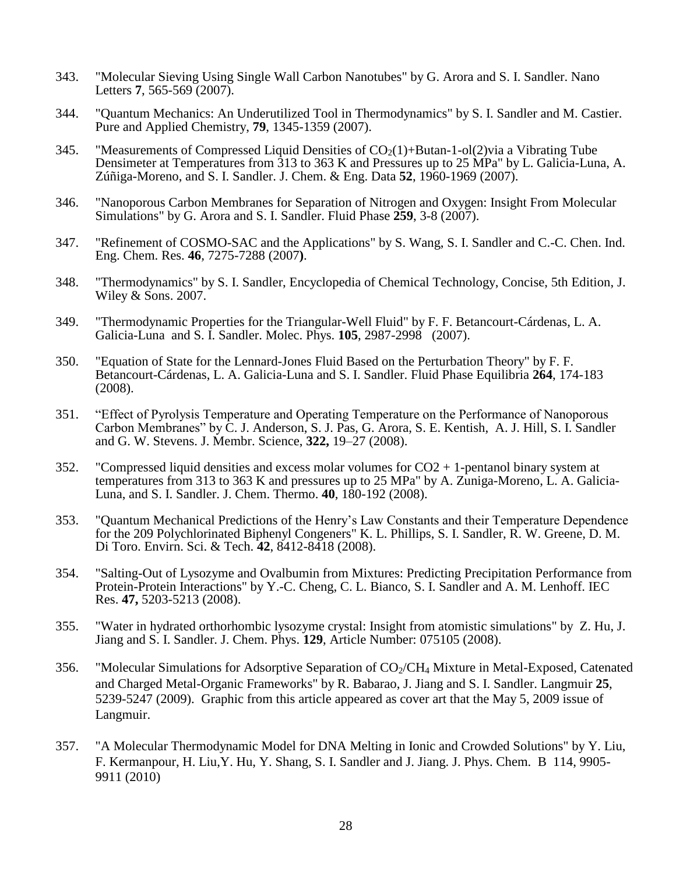- 343. "Molecular Sieving Using Single Wall Carbon Nanotubes" by G. Arora and S. I. Sandler. Nano Letters **7**, 565-569 (2007).
- 344. "Quantum Mechanics: An Underutilized Tool in Thermodynamics" by S. I. Sandler and M. Castier. Pure and Applied Chemistry, **79**, 1345-1359 (2007).
- 345. "Measurements of Compressed Liquid Densities of  $CO<sub>2</sub>(1)+Butan-1-ol(2)$  via a Vibrating Tube Densimeter at Temperatures from 313 to 363 K and Pressures up to 25 MPa" by L. Galicia-Luna, A. Zúñiga-Moreno, and S. I. Sandler. J. Chem. & Eng. Data **52**, 1960-1969 (2007).
- 346. "Nanoporous Carbon Membranes for Separation of Nitrogen and Oxygen: Insight From Molecular Simulations" by G. Arora and S. I. Sandler. Fluid Phase **259**, 3-8 (2007).
- 347. "Refinement of COSMO-SAC and the Applications" by S. Wang, S. I. Sandler and C.-C. Chen. Ind. Eng. Chem. Res. **46***,* 7275-7288 (2007**)**.
- 348. "Thermodynamics" by S. I. Sandler, Encyclopedia of Chemical Technology, Concise, 5th Edition, J. Wiley & Sons. 2007.
- 349. "Thermodynamic Properties for the Triangular-Well Fluid" by F. F. Betancourt-Cárdenas, L. A. Galicia-Luna and S. I. Sandler. Molec. Phys. **105**, 2987-2998 (2007).
- 350. "Equation of State for the Lennard-Jones Fluid Based on the Perturbation Theory" by F. F. Betancourt-Cárdenas, L. A. Galicia-Luna and S. I. Sandler. Fluid Phase Equilibria **264**, 174-183 (2008).
- 351. "Effect of Pyrolysis Temperature and Operating Temperature on the Performance of Nanoporous Carbon Membranes" by C. J. Anderson, S. J. Pas, G. Arora, S. E. Kentish, A. J. Hill, S. I. Sandler and G. W. Stevens. J. Membr. Science, **322,** 19–27 (2008).
- 352. "Compressed liquid densities and excess molar volumes for  $CO2 + 1$ -pentanol binary system at temperatures from 313 to 363 K and pressures up to 25 MPa" by A. Zuniga-Moreno, L. A. Galicia-Luna, and S. I. Sandler. J. Chem. Thermo. **40**, 180-192 (2008).
- 353. "Quantum Mechanical Predictions of the Henry's Law Constants and their Temperature Dependence for the 209 Polychlorinated Biphenyl Congeners" K. L. Phillips, S. I. Sandler, R. W. Greene, D. M. Di Toro. Envirn. Sci. & Tech. **42**, 8412-8418 (2008).
- 354. "Salting-Out of Lysozyme and Ovalbumin from Mixtures: Predicting Precipitation Performance from Protein-Protein Interactions" by Y.-C. Cheng, C. L. Bianco, S. I. Sandler and A. M. Lenhoff. IEC Res. **47,** 5203-5213 (2008).
- 355. "Water in hydrated orthorhombic lysozyme crystal: Insight from atomistic simulations" by Z. Hu, J. Jiang and S. I. Sandler. J. Chem. Phys. **129**, Article Number: 075105 (2008).
- 356. "Molecular Simulations for Adsorptive Separation of  $CO_2/CH_4$  Mixture in Metal-Exposed, Catenated and Charged Metal-Organic Frameworks" by R. Babarao, J. Jiang and S. I. Sandler. Langmuir **25**, 5239-5247 (2009). Graphic from this article appeared as cover art that the May 5, 2009 issue of Langmuir.
- 357. "A Molecular Thermodynamic Model for DNA Melting in Ionic and Crowded Solutions" by Y. Liu, F. Kermanpour, H. Liu,Y. Hu, Y. Shang, S. I. Sandler and J. Jiang. J. Phys. Chem. B 114, 9905- 9911 (2010)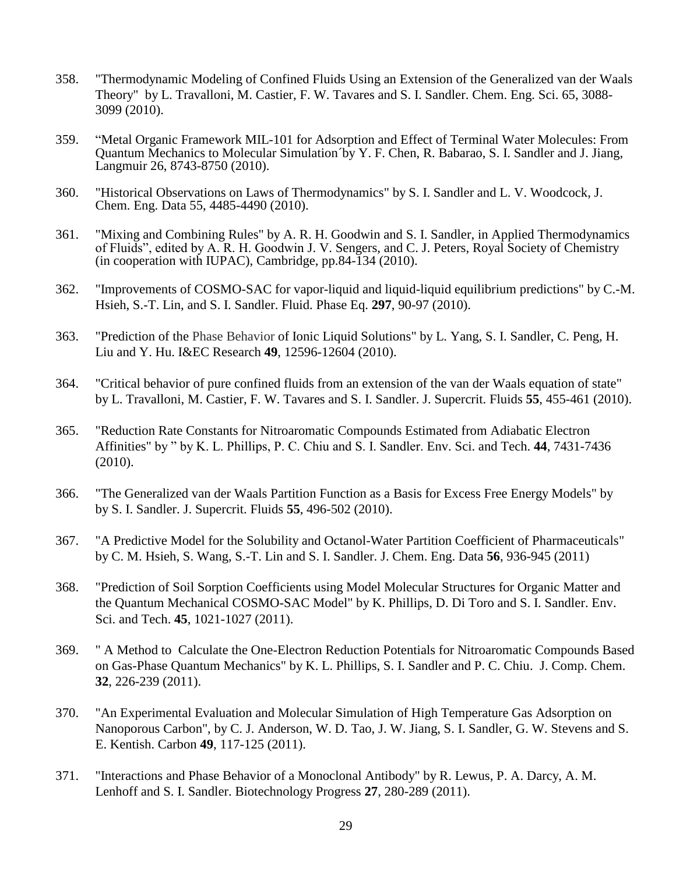- 358. "Thermodynamic Modeling of Confined Fluids Using an Extension of the Generalized van der Waals Theory" by L. Travalloni, M. Castier, F. W. Tavares and S. I. Sandler. Chem. Eng. Sci. 65, 3088- 3099 (2010).
- 359. "Metal Organic Framework MIL-101 for Adsorption and Effect of Terminal Water Molecules: From Quantum Mechanics to Molecular Simulation´by Y. F. Chen, R. Babarao, S. I. Sandler and J. Jiang, Langmuir 26, 8743-8750 (2010).
- 360. "Historical Observations on Laws of Thermodynamics" by S. I. Sandler and L. V. Woodcock, J. Chem. Eng. Data 55, 4485-4490 (2010).
- 361. "Mixing and Combining Rules" by A. R. H. Goodwin and S. I. Sandler, in Applied Thermodynamics of Fluids", edited by A. R. H. Goodwin J. V. Sengers, and C. J. Peters, Royal Society of Chemistry (in cooperation with IUPAC), Cambridge, pp.84-134 (2010).
- 362. "Improvements of COSMO-SAC for vapor-liquid and liquid-liquid equilibrium predictions" by C.-M. Hsieh, S.-T. Lin, and S. I. Sandler. Fluid. Phase Eq. **297**, 90-97 (2010).
- 363. "Prediction of the Phase Behavior of Ionic Liquid Solutions" by L. Yang, S. I. Sandler, C. Peng, H. Liu and Y. Hu. I&EC Research **49**, 12596-12604 (2010).
- 364. "Critical behavior of pure confined fluids from an extension of the van der Waals equation of state" by L. Travalloni, M. Castier, F. W. Tavares and S. I. Sandler. J. Supercrit. Fluids **55**, 455-461 (2010).
- 365. "Reduction Rate Constants for Nitroaromatic Compounds Estimated from Adiabatic Electron Affinities" by " by K. L. Phillips, P. C. Chiu and S. I. Sandler. Env. Sci. and Tech. **44**, 7431-7436 (2010).
- 366. "The Generalized van der Waals Partition Function as a Basis for Excess Free Energy Models" by by S. I. Sandler. J. Supercrit. Fluids **55**, 496-502 (2010).
- 367. "A Predictive Model for the Solubility and Octanol-Water Partition Coefficient of Pharmaceuticals" by C. M. Hsieh, S. Wang, S.-T. Lin and S. I. Sandler. J. Chem. Eng. Data **56**, 936-945 (2011)
- 368. "Prediction of Soil Sorption Coefficients using Model Molecular Structures for Organic Matter and the Quantum Mechanical COSMO-SAC Model" by K. Phillips, D. Di Toro and S. I. Sandler. Env. Sci. and Tech. **45**, 1021-1027 (2011).
- 369. " A Method to Calculate the One-Electron Reduction Potentials for Nitroaromatic Compounds Based on Gas-Phase Quantum Mechanics" by K. L. Phillips, S. I. Sandler and P. C. Chiu. J. Comp. Chem. **32**, 226-239 (2011).
- 370. "An Experimental Evaluation and Molecular Simulation of High Temperature Gas Adsorption on Nanoporous Carbon", by C. J. Anderson, W. D. Tao, J. W. Jiang, S. I. Sandler, G. W. Stevens and S. E. Kentish. Carbon **49**, 117-125 (2011).
- 371. "Interactions and Phase Behavior of a Monoclonal Antibody" by R. Lewus, P. A. Darcy, A. M. Lenhoff and S. I. Sandler. Biotechnology Progress **27**, 280-289 (2011).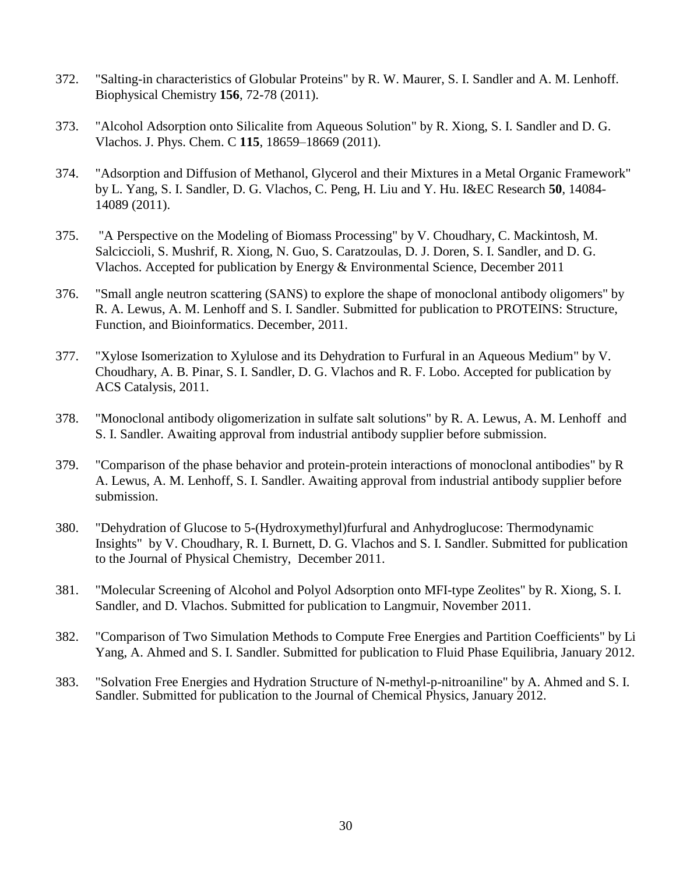- 372. "Salting-in characteristics of Globular Proteins" by R. W. Maurer, S. I. Sandler and A. M. Lenhoff. Biophysical Chemistry **156**, 72-78 (2011).
- 373. "Alcohol Adsorption onto Silicalite from Aqueous Solution" by R. Xiong, S. I. Sandler and D. G. Vlachos. J. Phys. Chem. C **115**, 18659–18669 (2011).
- 374. "Adsorption and Diffusion of Methanol, Glycerol and their Mixtures in a Metal Organic Framework" by L. Yang, S. I. Sandler, D. G. Vlachos, C. Peng, H. Liu and Y. Hu. I&EC Research **50**, 14084- 14089 (2011).
- 375. "A Perspective on the Modeling of Biomass Processing" by V. Choudhary, C. Mackintosh, M. Salciccioli, S. Mushrif, R. Xiong, N. Guo, S. Caratzoulas, D. J. Doren, S. I. Sandler, and D. G. Vlachos. Accepted for publication by Energy & Environmental Science, December 2011
- 376. "Small angle neutron scattering (SANS) to explore the shape of monoclonal antibody oligomers" by R. A. Lewus, A. M. Lenhoff and S. I. Sandler. Submitted for publication to PROTEINS: Structure, Function, and Bioinformatics. December, 2011.
- 377. "Xylose Isomerization to Xylulose and its Dehydration to Furfural in an Aqueous Medium" by V. Choudhary, A. B. Pinar, S. I. Sandler, D. G. Vlachos and R. F. Lobo. Accepted for publication by ACS Catalysis, 2011.
- 378. "Monoclonal antibody oligomerization in sulfate salt solutions" by R. A. Lewus, A. M. Lenhoff and S. I. Sandler. Awaiting approval from industrial antibody supplier before submission.
- 379. "Comparison of the phase behavior and protein-protein interactions of monoclonal antibodies" by R A. Lewus, A. M. Lenhoff, S. I. Sandler. Awaiting approval from industrial antibody supplier before submission.
- 380. "Dehydration of Glucose to 5-(Hydroxymethyl)furfural and Anhydroglucose: Thermodynamic Insights" by V. Choudhary, R. I. Burnett, D. G. Vlachos and S. I. Sandler. Submitted for publication to the Journal of Physical Chemistry, December 2011.
- 381. "Molecular Screening of Alcohol and Polyol Adsorption onto MFI-type Zeolites" by R. Xiong, S. I. Sandler, and D. Vlachos. Submitted for publication to Langmuir, November 2011.
- 382. "Comparison of Two Simulation Methods to Compute Free Energies and Partition Coefficients" by Li Yang, A. Ahmed and S. I. Sandler. Submitted for publication to Fluid Phase Equilibria, January 2012.
- 383. "Solvation Free Energies and Hydration Structure of N-methyl-p-nitroaniline" by A. Ahmed and S. I. Sandler. Submitted for publication to the Journal of Chemical Physics, January 2012.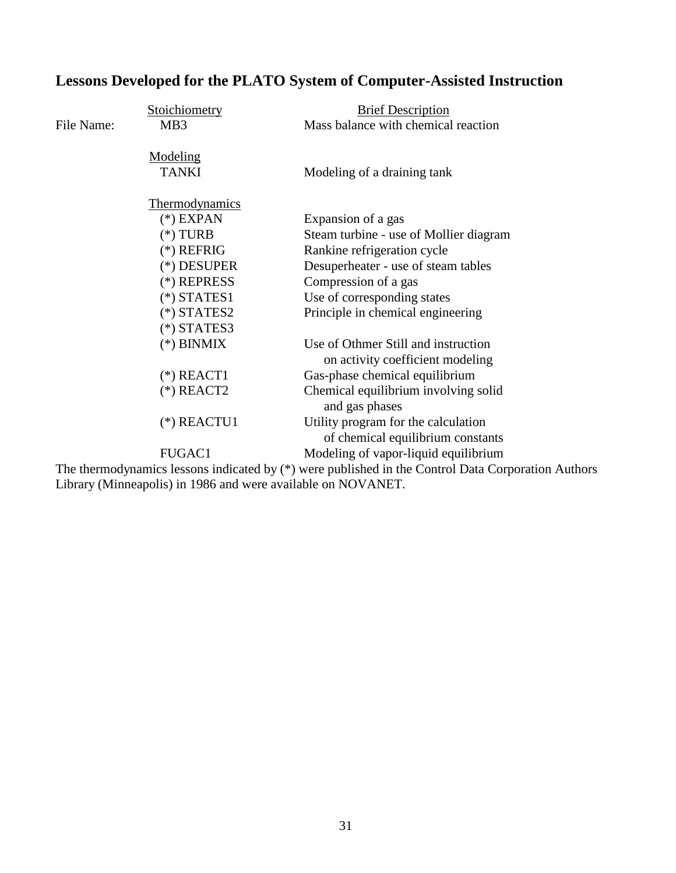# **Lessons Developed for the PLATO System of Computer-Assisted Instruction**

|            | Stoichiometry   | <b>Brief Description</b>                                                 |
|------------|-----------------|--------------------------------------------------------------------------|
| File Name: | MB <sub>3</sub> | Mass balance with chemical reaction                                      |
|            | Modeling        |                                                                          |
|            | <b>TANKI</b>    | Modeling of a draining tank                                              |
|            | Thermodynamics  |                                                                          |
|            | $(*)$ EXPAN     | Expansion of a gas                                                       |
|            | $(*)$ TURB      | Steam turbine - use of Mollier diagram                                   |
|            | $(*)$ REFRIG    | Rankine refrigeration cycle                                              |
|            | (*) DESUPER     | Desuperheater - use of steam tables                                      |
|            | (*) REPRESS     | Compression of a gas                                                     |
|            | $(*)$ STATES1   | Use of corresponding states                                              |
|            | $(*)$ STATES2   | Principle in chemical engineering                                        |
|            | $(*)$ STATES3   |                                                                          |
|            | $(*)$ BINMIX    | Use of Othmer Still and instruction<br>on activity coefficient modeling  |
|            | $(*)$ REACT1    | Gas-phase chemical equilibrium                                           |
|            | $(*)$ REACT2    | Chemical equilibrium involving solid<br>and gas phases                   |
|            | $(*)$ REACTU1   | Utility program for the calculation<br>of chemical equilibrium constants |
|            | FUGAC1          | Modeling of vapor-liquid equilibrium                                     |
|            |                 |                                                                          |

The thermodynamics lessons indicated by (\*) were published in the Control Data Corporation Authors Library (Minneapolis) in 1986 and were available on NOVANET.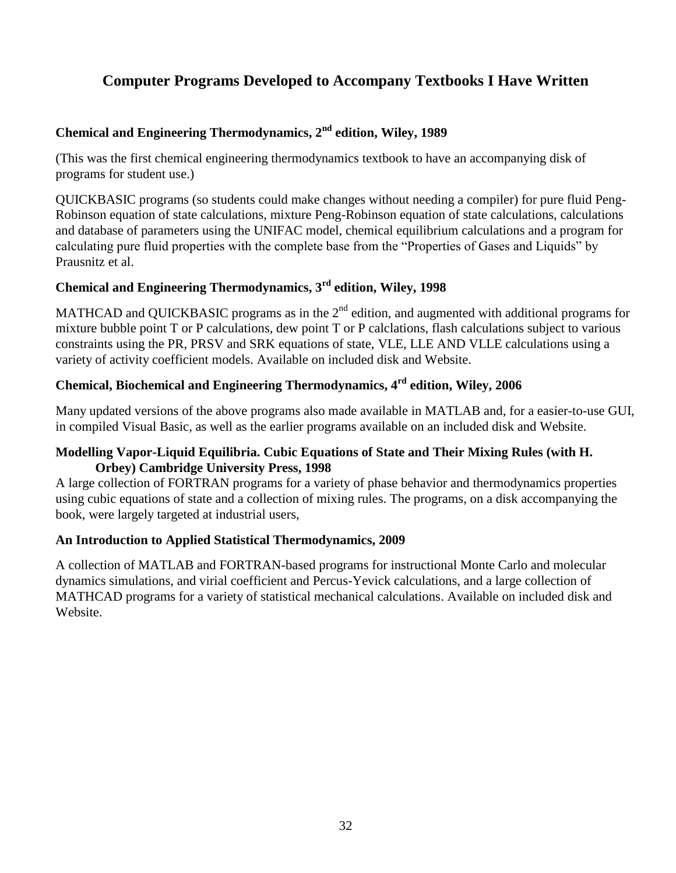# **Computer Programs Developed to Accompany Textbooks I Have Written**

# **Chemical and Engineering Thermodynamics, 2nd edition, Wiley, 1989**

(This was the first chemical engineering thermodynamics textbook to have an accompanying disk of programs for student use.)

QUICKBASIC programs (so students could make changes without needing a compiler) for pure fluid Peng-Robinson equation of state calculations, mixture Peng-Robinson equation of state calculations, calculations and database of parameters using the UNIFAC model, chemical equilibrium calculations and a program for calculating pure fluid properties with the complete base from the "Properties of Gases and Liquids" by Prausnitz et al.

# **Chemical and Engineering Thermodynamics, 3rd edition, Wiley, 1998**

MATHCAD and QUICKBASIC programs as in the 2<sup>nd</sup> edition, and augmented with additional programs for mixture bubble point T or P calculations, dew point T or P calclations, flash calculations subject to various constraints using the PR, PRSV and SRK equations of state, VLE, LLE AND VLLE calculations using a variety of activity coefficient models. Available on included disk and Website.

# **Chemical, Biochemical and Engineering Thermodynamics, 4rd edition, Wiley, 2006**

Many updated versions of the above programs also made available in MATLAB and, for a easier-to-use GUI, in compiled Visual Basic, as well as the earlier programs available on an included disk and Website.

#### **Modelling Vapor-Liquid Equilibria. Cubic Equations of State and Their Mixing Rules (with H. Orbey) Cambridge University Press, 1998**

A large collection of FORTRAN programs for a variety of phase behavior and thermodynamics properties using cubic equations of state and a collection of mixing rules. The programs, on a disk accompanying the book, were largely targeted at industrial users,

#### **An Introduction to Applied Statistical Thermodynamics, 2009**

A collection of MATLAB and FORTRAN-based programs for instructional Monte Carlo and molecular dynamics simulations, and virial coefficient and Percus-Yevick calculations, and a large collection of MATHCAD programs for a variety of statistical mechanical calculations. Available on included disk and Website.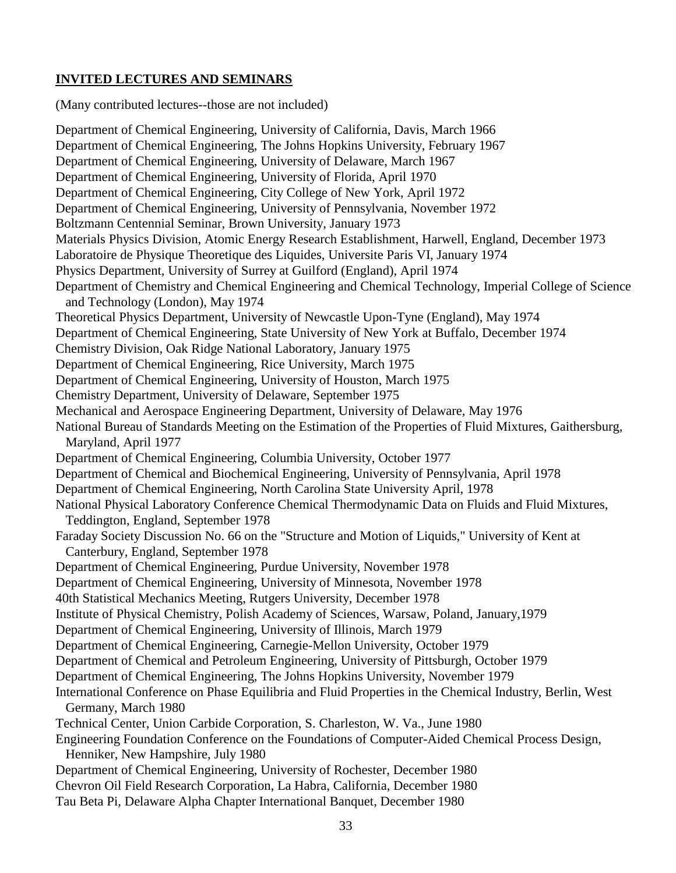## **INVITED LECTURES AND SEMINARS**

(Many contributed lectures--those are not included)

Department of Chemical Engineering, University of California, Davis, March 1966 Department of Chemical Engineering, The Johns Hopkins University, February 1967 Department of Chemical Engineering, University of Delaware, March 1967 Department of Chemical Engineering, University of Florida, April 1970 Department of Chemical Engineering, City College of New York, April 1972 Department of Chemical Engineering, University of Pennsylvania, November 1972 Boltzmann Centennial Seminar, Brown University, January 1973 Materials Physics Division, Atomic Energy Research Establishment, Harwell, England, December 1973 Laboratoire de Physique Theoretique des Liquides, Universite Paris VI, January 1974 Physics Department, University of Surrey at Guilford (England), April 1974 Department of Chemistry and Chemical Engineering and Chemical Technology, Imperial College of Science and Technology (London), May 1974 Theoretical Physics Department, University of Newcastle Upon-Tyne (England), May 1974 Department of Chemical Engineering, State University of New York at Buffalo, December 1974 Chemistry Division, Oak Ridge National Laboratory, January 1975 Department of Chemical Engineering, Rice University, March 1975 Department of Chemical Engineering, University of Houston, March 1975 Chemistry Department, University of Delaware, September 1975 Mechanical and Aerospace Engineering Department, University of Delaware, May 1976 National Bureau of Standards Meeting on the Estimation of the Properties of Fluid Mixtures, Gaithersburg, Maryland, April 1977 Department of Chemical Engineering, Columbia University, October 1977 Department of Chemical and Biochemical Engineering, University of Pennsylvania, April 1978 Department of Chemical Engineering, North Carolina State University April, 1978 National Physical Laboratory Conference Chemical Thermodynamic Data on Fluids and Fluid Mixtures, Teddington, England, September 1978 Faraday Society Discussion No. 66 on the "Structure and Motion of Liquids," University of Kent at Canterbury, England, September 1978 Department of Chemical Engineering, Purdue University, November 1978 Department of Chemical Engineering, University of Minnesota, November 1978 40th Statistical Mechanics Meeting, Rutgers University, December 1978 Institute of Physical Chemistry, Polish Academy of Sciences, Warsaw, Poland, January,1979 Department of Chemical Engineering, University of Illinois, March 1979 Department of Chemical Engineering, Carnegie-Mellon University, October 1979 Department of Chemical and Petroleum Engineering, University of Pittsburgh, October 1979 Department of Chemical Engineering, The Johns Hopkins University, November 1979 International Conference on Phase Equilibria and Fluid Properties in the Chemical Industry, Berlin, West Germany, March 1980 Technical Center, Union Carbide Corporation, S. Charleston, W. Va., June 1980 Engineering Foundation Conference on the Foundations of Computer-Aided Chemical Process Design, Henniker, New Hampshire, July 1980 Department of Chemical Engineering, University of Rochester, December 1980 Chevron Oil Field Research Corporation, La Habra, California, December 1980 Tau Beta Pi, Delaware Alpha Chapter International Banquet, December 1980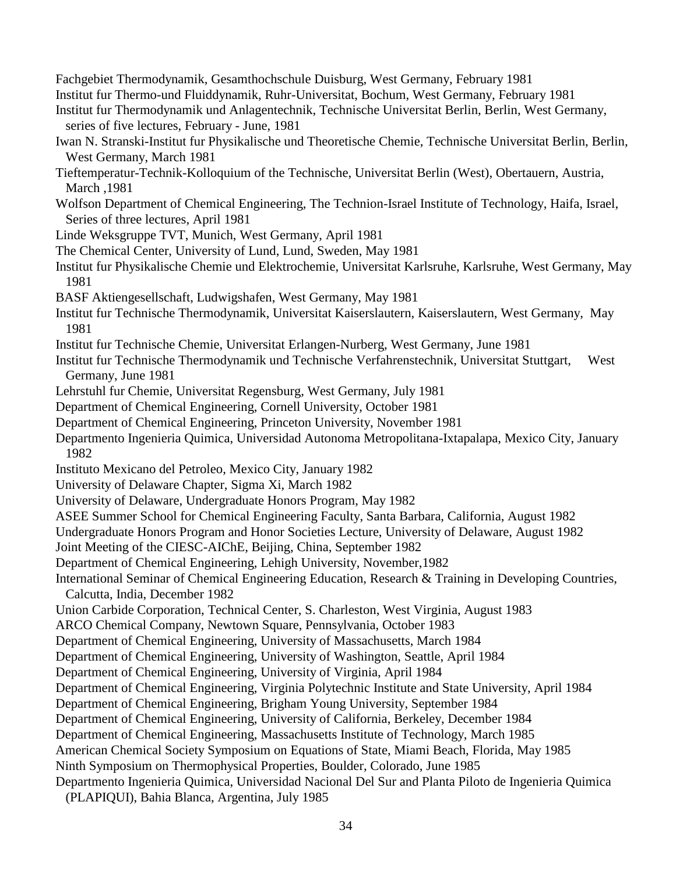Fachgebiet Thermodynamik, Gesamthochschule Duisburg, West Germany, February 1981 Institut fur Thermo-und Fluiddynamik, Ruhr-Universitat, Bochum, West Germany, February 1981 Institut fur Thermodynamik und Anlagentechnik, Technische Universitat Berlin, Berlin, West Germany, series of five lectures, February - June, 1981 Iwan N. Stranski-Institut fur Physikalische und Theoretische Chemie, Technische Universitat Berlin, Berlin, West Germany, March 1981 Tieftemperatur-Technik-Kolloquium of the Technische, Universitat Berlin (West), Obertauern, Austria, March ,1981 Wolfson Department of Chemical Engineering, The Technion-Israel Institute of Technology, Haifa, Israel, Series of three lectures, April 1981 Linde Weksgruppe TVT, Munich, West Germany, April 1981 The Chemical Center, University of Lund, Lund, Sweden, May 1981 Institut fur Physikalische Chemie und Elektrochemie, Universitat Karlsruhe, Karlsruhe, West Germany, May 1981 BASF Aktiengesellschaft, Ludwigshafen, West Germany, May 1981 Institut fur Technische Thermodynamik, Universitat Kaiserslautern, Kaiserslautern, West Germany, May 1981 Institut fur Technische Chemie, Universitat Erlangen-Nurberg, West Germany, June 1981 Institut fur Technische Thermodynamik und Technische Verfahrenstechnik, Universitat Stuttgart, West Germany, June 1981 Lehrstuhl fur Chemie, Universitat Regensburg, West Germany, July 1981 Department of Chemical Engineering, Cornell University, October 1981 Department of Chemical Engineering, Princeton University, November 1981 Departmento Ingenieria Quimica, Universidad Autonoma Metropolitana-Ixtapalapa, Mexico City, January 1982 Instituto Mexicano del Petroleo, Mexico City, January 1982 University of Delaware Chapter, Sigma Xi, March 1982 University of Delaware, Undergraduate Honors Program, May 1982 ASEE Summer School for Chemical Engineering Faculty, Santa Barbara, California, August 1982 Undergraduate Honors Program and Honor Societies Lecture, University of Delaware, August 1982 Joint Meeting of the CIESC-AIChE, Beijing, China, September 1982 Department of Chemical Engineering, Lehigh University, November,1982 International Seminar of Chemical Engineering Education, Research & Training in Developing Countries, Calcutta, India, December 1982 Union Carbide Corporation, Technical Center, S. Charleston, West Virginia, August 1983 ARCO Chemical Company, Newtown Square, Pennsylvania, October 1983 Department of Chemical Engineering, University of Massachusetts, March 1984 Department of Chemical Engineering, University of Washington, Seattle, April 1984 Department of Chemical Engineering, University of Virginia, April 1984 Department of Chemical Engineering, Virginia Polytechnic Institute and State University, April 1984 Department of Chemical Engineering, Brigham Young University, September 1984 Department of Chemical Engineering, University of California, Berkeley, December 1984 Department of Chemical Engineering, Massachusetts Institute of Technology, March 1985 American Chemical Society Symposium on Equations of State, Miami Beach, Florida, May 1985 Ninth Symposium on Thermophysical Properties, Boulder, Colorado, June 1985 Departmento Ingenieria Quimica, Universidad Nacional Del Sur and Planta Piloto de Ingenieria Quimica (PLAPIQUI), Bahia Blanca, Argentina, July 1985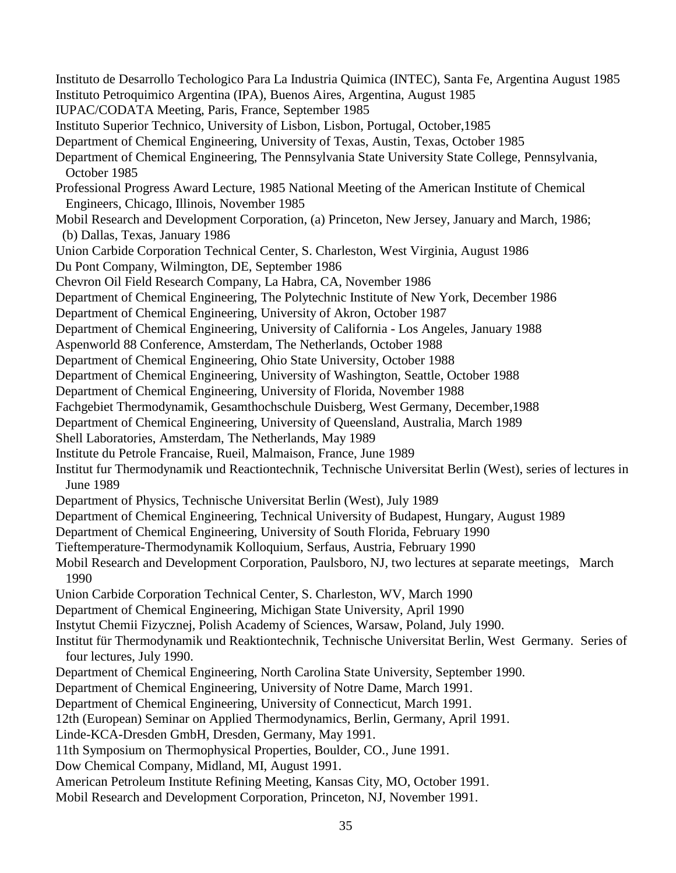Instituto de Desarrollo Techologico Para La Industria Quimica (INTEC), Santa Fe, Argentina August 1985 Instituto Petroquimico Argentina (IPA), Buenos Aires, Argentina, August 1985 IUPAC/CODATA Meeting, Paris, France, September 1985 Instituto Superior Technico, University of Lisbon, Lisbon, Portugal, October,1985 Department of Chemical Engineering, University of Texas, Austin, Texas, October 1985 Department of Chemical Engineering, The Pennsylvania State University State College, Pennsylvania, October 1985 Professional Progress Award Lecture, 1985 National Meeting of the American Institute of Chemical Engineers, Chicago, Illinois, November 1985 Mobil Research and Development Corporation, (a) Princeton, New Jersey, January and March, 1986; (b) Dallas, Texas, January 1986 Union Carbide Corporation Technical Center, S. Charleston, West Virginia, August 1986 Du Pont Company, Wilmington, DE, September 1986 Chevron Oil Field Research Company, La Habra, CA, November 1986 Department of Chemical Engineering, The Polytechnic Institute of New York, December 1986 Department of Chemical Engineering, University of Akron, October 1987 Department of Chemical Engineering, University of California - Los Angeles, January 1988 Aspenworld 88 Conference, Amsterdam, The Netherlands, October 1988 Department of Chemical Engineering, Ohio State University, October 1988 Department of Chemical Engineering, University of Washington, Seattle, October 1988 Department of Chemical Engineering, University of Florida, November 1988 Fachgebiet Thermodynamik, Gesamthochschule Duisberg, West Germany, December,1988 Department of Chemical Engineering, University of Queensland, Australia, March 1989 Shell Laboratories, Amsterdam, The Netherlands, May 1989 Institute du Petrole Francaise, Rueil, Malmaison, France, June 1989 Institut fur Thermodynamik und Reactiontechnik, Technische Universitat Berlin (West), series of lectures in June 1989 Department of Physics, Technische Universitat Berlin (West), July 1989 Department of Chemical Engineering, Technical University of Budapest, Hungary, August 1989 Department of Chemical Engineering, University of South Florida, February 1990 Tieftemperature-Thermodynamik Kolloquium, Serfaus, Austria, February 1990 Mobil Research and Development Corporation, Paulsboro, NJ, two lectures at separate meetings, March 1990 Union Carbide Corporation Technical Center, S. Charleston, WV, March 1990 Department of Chemical Engineering, Michigan State University, April 1990 Instytut Chemii Fizycznej, Polish Academy of Sciences, Warsaw, Poland, July 1990. Institut für Thermodynamik und Reaktiontechnik, Technische Universitat Berlin, West Germany. Series of four lectures, July 1990. Department of Chemical Engineering, North Carolina State University, September 1990. Department of Chemical Engineering, University of Notre Dame, March 1991. Department of Chemical Engineering, University of Connecticut, March 1991. 12th (European) Seminar on Applied Thermodynamics, Berlin, Germany, April 1991. Linde-KCA-Dresden GmbH, Dresden, Germany, May 1991. 11th Symposium on Thermophysical Properties, Boulder, CO., June 1991. Dow Chemical Company, Midland, MI, August 1991. American Petroleum Institute Refining Meeting, Kansas City, MO, October 1991. Mobil Research and Development Corporation, Princeton, NJ, November 1991.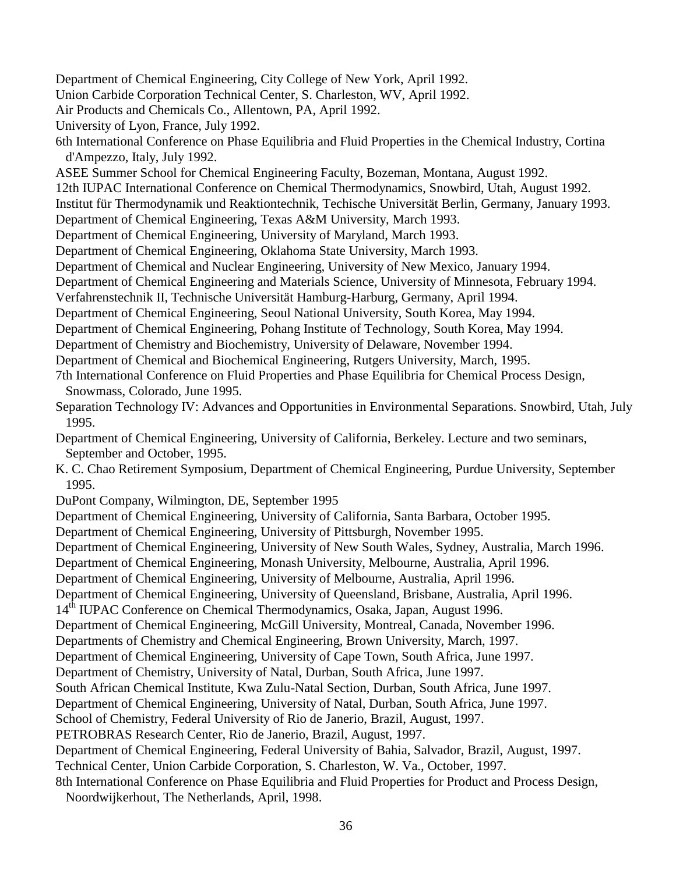Department of Chemical Engineering, City College of New York, April 1992. Union Carbide Corporation Technical Center, S. Charleston, WV, April 1992. Air Products and Chemicals Co., Allentown, PA, April 1992. University of Lyon, France, July 1992. 6th International Conference on Phase Equilibria and Fluid Properties in the Chemical Industry, Cortina d'Ampezzo, Italy, July 1992. ASEE Summer School for Chemical Engineering Faculty, Bozeman, Montana, August 1992. 12th IUPAC International Conference on Chemical Thermodynamics, Snowbird, Utah, August 1992. Institut für Thermodynamik und Reaktiontechnik, Techische Universität Berlin, Germany, January 1993. Department of Chemical Engineering, Texas A&M University, March 1993. Department of Chemical Engineering, University of Maryland, March 1993. Department of Chemical Engineering, Oklahoma State University, March 1993. Department of Chemical and Nuclear Engineering, University of New Mexico, January 1994. Department of Chemical Engineering and Materials Science, University of Minnesota, February 1994. Verfahrenstechnik II, Technische Universität Hamburg-Harburg, Germany, April 1994. Department of Chemical Engineering, Seoul National University, South Korea, May 1994. Department of Chemical Engineering, Pohang Institute of Technology, South Korea, May 1994. Department of Chemistry and Biochemistry, University of Delaware, November 1994. Department of Chemical and Biochemical Engineering, Rutgers University, March, 1995. 7th International Conference on Fluid Properties and Phase Equilibria for Chemical Process Design, Snowmass, Colorado, June 1995. Separation Technology IV: Advances and Opportunities in Environmental Separations. Snowbird, Utah, July 1995. Department of Chemical Engineering, University of California, Berkeley. Lecture and two seminars, September and October, 1995. K. C. Chao Retirement Symposium, Department of Chemical Engineering, Purdue University, September 1995. DuPont Company, Wilmington, DE, September 1995 Department of Chemical Engineering, University of California, Santa Barbara, October 1995. Department of Chemical Engineering, University of Pittsburgh, November 1995. Department of Chemical Engineering, University of New South Wales, Sydney, Australia, March 1996. Department of Chemical Engineering, Monash University, Melbourne, Australia, April 1996. Department of Chemical Engineering, University of Melbourne, Australia, April 1996. Department of Chemical Engineering, University of Queensland, Brisbane, Australia, April 1996. 14<sup>th</sup> IUPAC Conference on Chemical Thermodynamics, Osaka, Japan, August 1996. Department of Chemical Engineering, McGill University, Montreal, Canada, November 1996. Departments of Chemistry and Chemical Engineering, Brown University, March, 1997. Department of Chemical Engineering, University of Cape Town, South Africa, June 1997. Department of Chemistry, University of Natal, Durban, South Africa, June 1997. South African Chemical Institute, Kwa Zulu-Natal Section, Durban, South Africa, June 1997. Department of Chemical Engineering, University of Natal, Durban, South Africa, June 1997. School of Chemistry, Federal University of Rio de Janerio, Brazil, August, 1997. PETROBRAS Research Center, Rio de Janerio, Brazil, August, 1997. Department of Chemical Engineering, Federal University of Bahia, Salvador, Brazil, August, 1997. Technical Center, Union Carbide Corporation, S. Charleston, W. Va., October, 1997. 8th International Conference on Phase Equilibria and Fluid Properties for Product and Process Design, Noordwijkerhout, The Netherlands, April, 1998.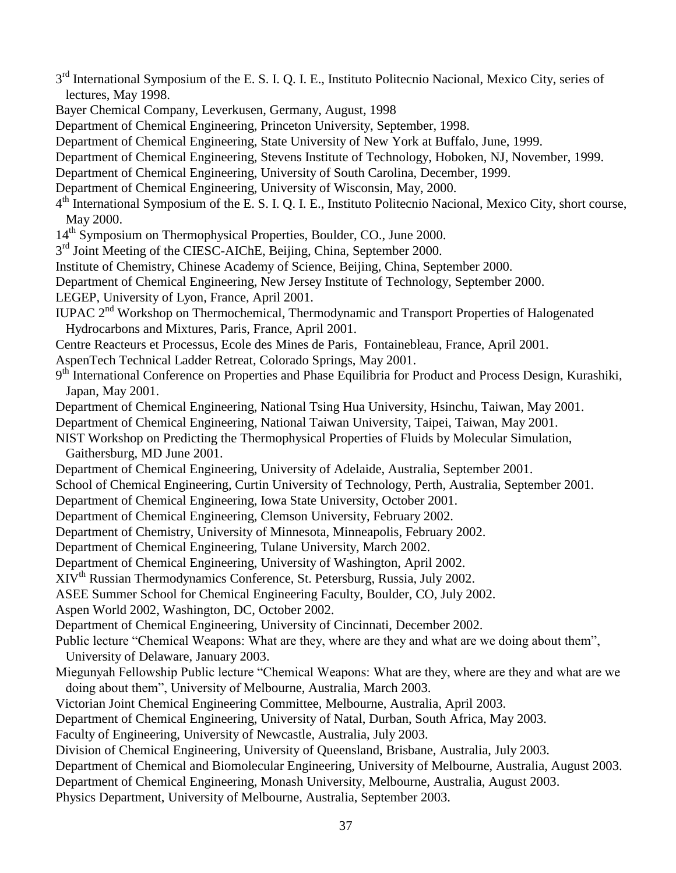- 3<sup>rd</sup> International Symposium of the E. S. I. Q. I. E., Instituto Politecnio Nacional, Mexico City, series of lectures, May 1998.
- Bayer Chemical Company, Leverkusen, Germany, August, 1998
- Department of Chemical Engineering, Princeton University, September, 1998.
- Department of Chemical Engineering, State University of New York at Buffalo, June, 1999.
- Department of Chemical Engineering, Stevens Institute of Technology, Hoboken, NJ, November, 1999.
- Department of Chemical Engineering, University of South Carolina, December, 1999.
- Department of Chemical Engineering, University of Wisconsin, May, 2000.
- 4<sup>th</sup> International Symposium of the E. S. I. Q. I. E., Instituto Politecnio Nacional, Mexico City, short course, May 2000.
- 14<sup>th</sup> Symposium on Thermophysical Properties, Boulder, CO., June 2000.
- 3<sup>rd</sup> Joint Meeting of the CIESC-AIChE, Beijing, China, September 2000.
- Institute of Chemistry, Chinese Academy of Science, Beijing, China, September 2000.
- Department of Chemical Engineering, New Jersey Institute of Technology, September 2000.
- LEGEP, University of Lyon, France, April 2001.
- IUPAC 2<sup>nd</sup> Workshop on Thermochemical, Thermodynamic and Transport Properties of Halogenated Hydrocarbons and Mixtures, Paris, France, April 2001.
- Centre Reacteurs et Processus, Ecole des Mines de Paris, Fontainebleau, France, April 2001.
- AspenTech Technical Ladder Retreat, Colorado Springs, May 2001.
- 9<sup>th</sup> International Conference on Properties and Phase Equilibria for Product and Process Design, Kurashiki, Japan, May 2001.
- Department of Chemical Engineering, National Tsing Hua University, Hsinchu, Taiwan, May 2001.
- Department of Chemical Engineering, National Taiwan University, Taipei, Taiwan, May 2001.
- NIST Workshop on Predicting the Thermophysical Properties of Fluids by Molecular Simulation, Gaithersburg, MD June 2001.
- Department of Chemical Engineering, University of Adelaide, Australia, September 2001.
- School of Chemical Engineering, Curtin University of Technology, Perth, Australia, September 2001.
- Department of Chemical Engineering, Iowa State University, October 2001.
- Department of Chemical Engineering, Clemson University, February 2002.
- Department of Chemistry, University of Minnesota, Minneapolis, February 2002.
- Department of Chemical Engineering, Tulane University, March 2002.
- Department of Chemical Engineering, University of Washington, April 2002.
- XIVth Russian Thermodynamics Conference, St. Petersburg, Russia, July 2002.
- ASEE Summer School for Chemical Engineering Faculty, Boulder, CO, July 2002.
- Aspen World 2002, Washington, DC, October 2002.
- Department of Chemical Engineering, University of Cincinnati, December 2002.
- Public lecture "Chemical Weapons: What are they, where are they and what are we doing about them", University of Delaware, January 2003.
- Miegunyah Fellowship Public lecture "Chemical Weapons: What are they, where are they and what are we doing about them", University of Melbourne, Australia, March 2003.
- Victorian Joint Chemical Engineering Committee, Melbourne, Australia, April 2003.
- Department of Chemical Engineering, University of Natal, Durban, South Africa, May 2003.
- Faculty of Engineering, University of Newcastle, Australia, July 2003.
- Division of Chemical Engineering, University of Queensland, Brisbane, Australia, July 2003.
- Department of Chemical and Biomolecular Engineering, University of Melbourne, Australia, August 2003.
- Department of Chemical Engineering, Monash University, Melbourne, Australia, August 2003.
- Physics Department, University of Melbourne, Australia, September 2003.